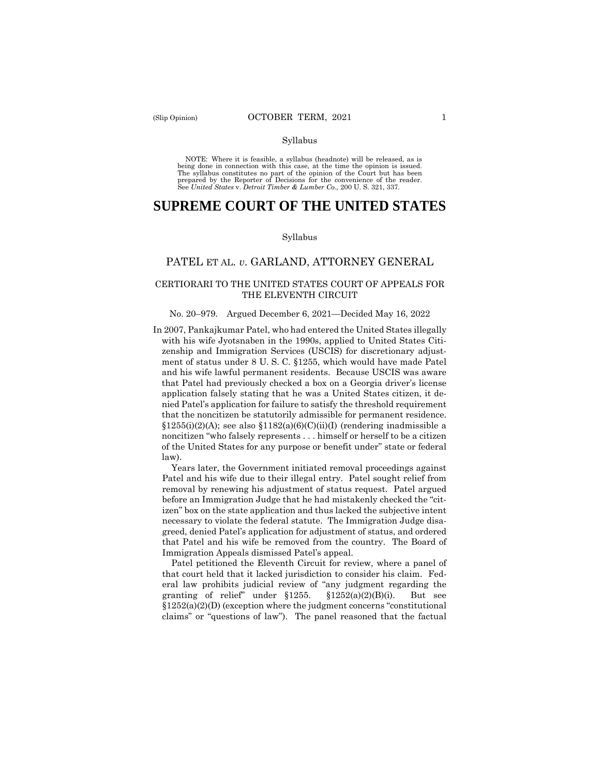NOTE: Where it is feasible, a syllabus (headnote) will be released, as is being done in connection with this case, at the time the opinion is issued. The syllabus constitutes no part of the opinion of the Court but has been<br>prepared by the Reporter of Decisions for the convenience of the reader.<br>See United States v. Detroit Timber & Lumber Co., 200 U.S. 321, 337.

# **SUPREME COURT OF THE UNITED STATES**

#### Syllabus

## PATEL ET AL. *v*. GARLAND, ATTORNEY GENERAL

## CERTIORARI TO THE UNITED STATES COURT OF APPEALS FOR THE ELEVENTH CIRCUIT

#### No. 20–979. Argued December 6, 2021—Decided May 16, 2022

 that the noncitizen be statutorily admissible for permanent residence. In 2007, Pankajkumar Patel, who had entered the United States illegally with his wife Jyotsnaben in the 1990s, applied to United States Citizenship and Immigration Services (USCIS) for discretionary adjustment of status under 8 U. S. C. §1255, which would have made Patel and his wife lawful permanent residents. Because USCIS was aware that Patel had previously checked a box on a Georgia driver's license application falsely stating that he was a United States citizen, it denied Patel's application for failure to satisfy the threshold requirement  $$1255(i)(2)(A);$  see also  $$1182(a)(6)(C)(ii)(I)$  (rendering inadmissible a noncitizen "who falsely represents . . . himself or herself to be a citizen of the United States for any purpose or benefit under" state or federal law).

Years later, the Government initiated removal proceedings against Patel and his wife due to their illegal entry. Patel sought relief from removal by renewing his adjustment of status request. Patel argued before an Immigration Judge that he had mistakenly checked the "citizen" box on the state application and thus lacked the subjective intent necessary to violate the federal statute. The Immigration Judge disagreed, denied Patel's application for adjustment of status, and ordered that Patel and his wife be removed from the country. The Board of Immigration Appeals dismissed Patel's appeal.

Patel petitioned the Eleventh Circuit for review, where a panel of that court held that it lacked jurisdiction to consider his claim. Federal law prohibits judicial review of "any judgment regarding the granting of relief" under  $$1255$ .  $$1252(a)(2)(B)(i)$ . But see  $§1252(a)(2)(D)$  (exception where the judgment concerns "constitutional claims" or "questions of law"). The panel reasoned that the factual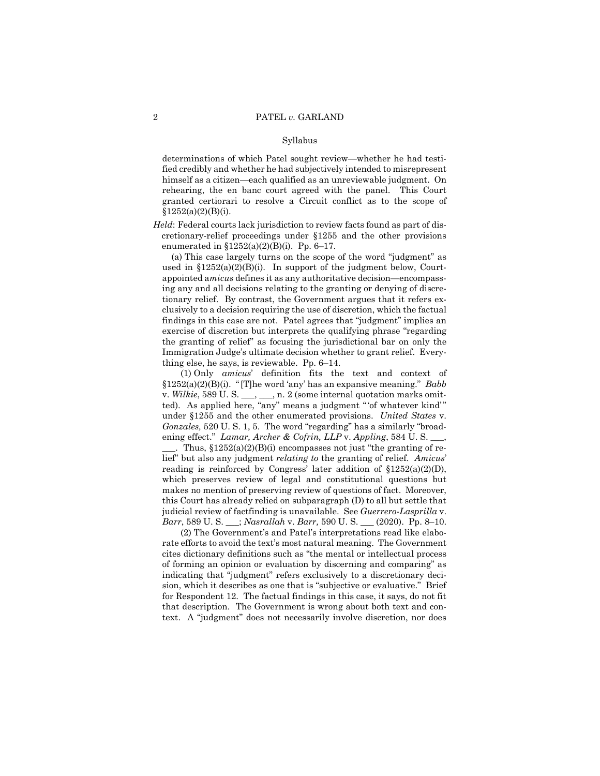determinations of which Patel sought review—whether he had testified credibly and whether he had subjectively intended to misrepresent himself as a citizen—each qualified as an unreviewable judgment. On rehearing, the en banc court agreed with the panel. This Court granted certiorari to resolve a Circuit conflict as to the scope of  $$1252(a)(2)(B)(i).$ 

*Held*: Federal courts lack jurisdiction to review facts found as part of discretionary-relief proceedings under §1255 and the other provisions enumerated in  $$1252(a)(2)(B)(i)$ . Pp. 6-17.

(a) This case largely turns on the scope of the word "judgment" as used in  $$1252(a)(2)(B)(i)$ . In support of the judgment below, Courtappointed a*micus* defines it as any authoritative decision—encompassing any and all decisions relating to the granting or denying of discretionary relief. By contrast, the Government argues that it refers exclusively to a decision requiring the use of discretion, which the factual findings in this case are not. Patel agrees that "judgment" implies an exercise of discretion but interprets the qualifying phrase "regarding the granting of relief" as focusing the jurisdictional bar on only the Immigration Judge's ultimate decision whether to grant relief. Everything else, he says, is reviewable. Pp. 6–14.

 lief" but also any judgment *relating to* the granting of relief. *Amicus*' (1) Only *amicus*' definition fits the text and context of §1252(a)(2)(B)(i). " [T]he word 'any' has an expansive meaning." *Babb*  v. *Wilkie*, 589 U. S. \_\_\_, \_\_\_, n. 2 (some internal quotation marks omitted). As applied here, "any" means a judgment " 'of whatever kind' " under §1255 and the other enumerated provisions. *United States* v. *Gonzales,* 520 U. S. 1, 5. The word "regarding" has a similarly "broadening effect." *Lamar, Archer & Cofrin, LLP* v. *Appling*, 584 U. S. \_\_\_, . Thus,  $$1252(a)(2)(B)(i)$  encompasses not just "the granting of rereading is reinforced by Congress' later addition of  $$1252(a)(2)(D)$ , which preserves review of legal and constitutional questions but makes no mention of preserving review of questions of fact. Moreover, this Court has already relied on subparagraph (D) to all but settle that judicial review of factfinding is unavailable. See *Guerrero-Lasprilla* v. *Barr*, 589 U. S. \_\_\_; *Nasrallah* v. *Barr,* 590 U. S. \_\_\_ (2020). Pp. 8–10.

(2) The Government's and Patel's interpretations read like elaborate efforts to avoid the text's most natural meaning. The Government cites dictionary definitions such as "the mental or intellectual process of forming an opinion or evaluation by discerning and comparing" as indicating that "judgment" refers exclusively to a discretionary decision, which it describes as one that is "subjective or evaluative." Brief for Respondent 12. The factual findings in this case, it says, do not fit that description. The Government is wrong about both text and context. A "judgment" does not necessarily involve discretion, nor does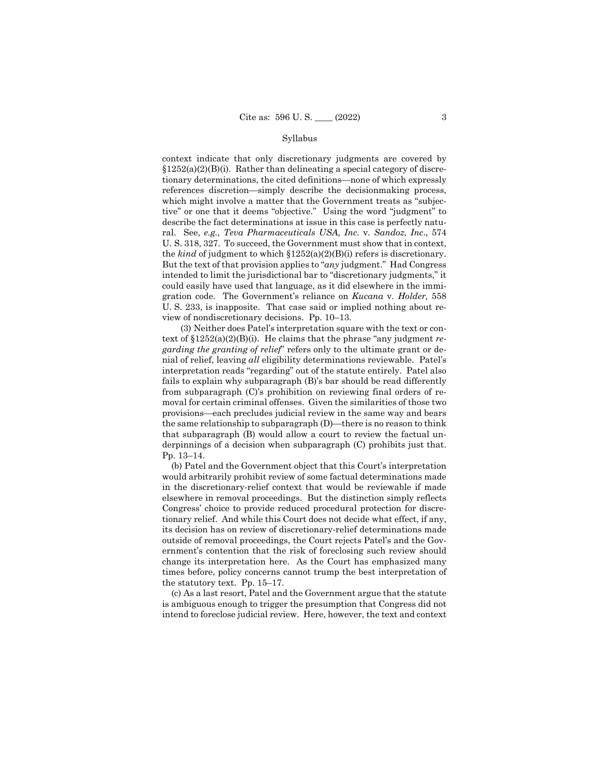the *kind* of judgment to which §1252(a)(2)(B)(i) refers is discretionary. context indicate that only discretionary judgments are covered by  $§1252(a)(2)(B)(i)$ . Rather than delineating a special category of discretionary determinations, the cited definitions—none of which expressly references discretion—simply describe the decisionmaking process, which might involve a matter that the Government treats as "subjective" or one that it deems "objective." Using the word "judgment" to describe the fact determinations at issue in this case is perfectly natural. See, *e.g., Teva Pharmaceuticals USA, Inc.* v*. Sandoz, Inc*., 574 U. S. 318, 327. To succeed, the Government must show that in context, But the text of that provision applies to "*any* judgment." Had Congress intended to limit the jurisdictional bar to "discretionary judgments," it could easily have used that language, as it did elsewhere in the immigration code. The Government's reliance on *Kucana* v. *Holder,* 558 U. S. 233, is inapposite. That case said or implied nothing about review of nondiscretionary decisions. Pp. 10–13.

(3) Neither does Patel's interpretation square with the text or context of §1252(a)(2)(B)(i). He claims that the phrase "any judgment *regarding the granting of relief*" refers only to the ultimate grant or denial of relief, leaving *all* eligibility determinations reviewable. Patel's interpretation reads "regarding" out of the statute entirely. Patel also fails to explain why subparagraph (B)'s bar should be read differently from subparagraph (C)'s prohibition on reviewing final orders of removal for certain criminal offenses. Given the similarities of those two provisions—each precludes judicial review in the same way and bears the same relationship to subparagraph (D)—there is no reason to think that subparagraph (B) would allow a court to review the factual underpinnings of a decision when subparagraph (C) prohibits just that. Pp. 13–14.

(b) Patel and the Government object that this Court's interpretation would arbitrarily prohibit review of some factual determinations made in the discretionary-relief context that would be reviewable if made elsewhere in removal proceedings. But the distinction simply reflects Congress' choice to provide reduced procedural protection for discretionary relief. And while this Court does not decide what effect, if any, its decision has on review of discretionary-relief determinations made outside of removal proceedings, the Court rejects Patel's and the Government's contention that the risk of foreclosing such review should change its interpretation here. As the Court has emphasized many times before, policy concerns cannot trump the best interpretation of the statutory text. Pp. 15–17.

(c) As a last resort, Patel and the Government argue that the statute is ambiguous enough to trigger the presumption that Congress did not intend to foreclose judicial review. Here, however, the text and context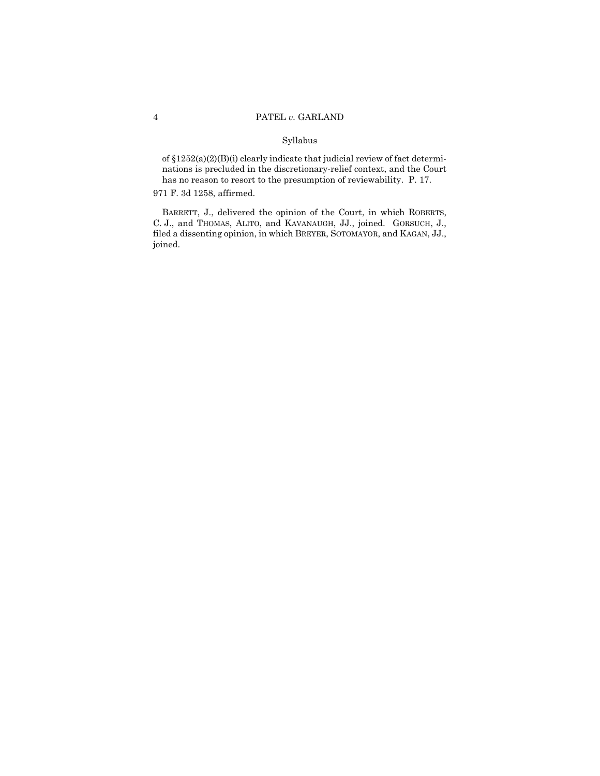of §1252(a)(2)(B)(i) clearly indicate that judicial review of fact determinations is precluded in the discretionary-relief context, and the Court has no reason to resort to the presumption of reviewability. P. 17.

## 971 F. 3d 1258, affirmed.

BARRETT, J., delivered the opinion of the Court, in which ROBERTS, C. J., and THOMAS, ALITO, and KAVANAUGH, JJ., joined. GORSUCH, J., filed a dissenting opinion, in which BREYER, SOTOMAYOR, and KAGAN, JJ., joined.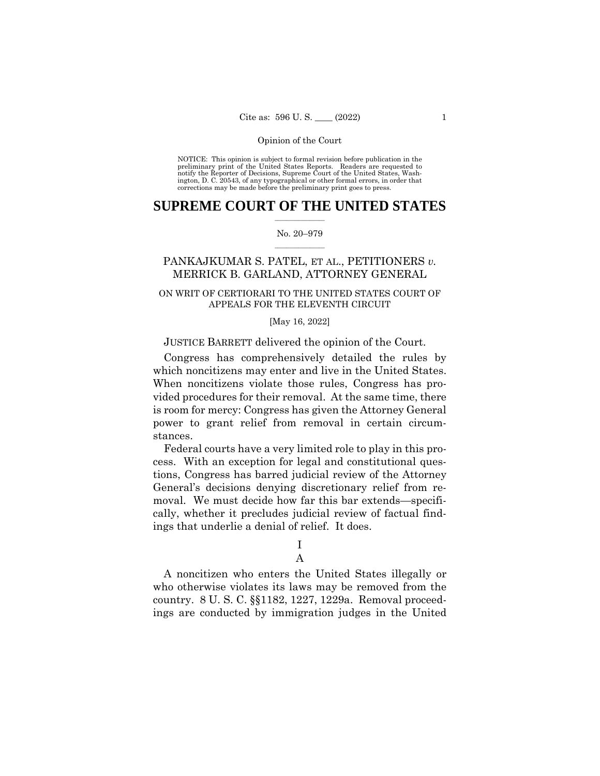NOTICE: This opinion is subject to formal revision before publication in the preliminary print of the United States Reports. Readers are requested to notify the Reporter of Decisions, Supreme Court of the United States, Wash-ington, D. C. 20543, of any typographical or other formal errors, in order that corrections may be made before the preliminary print goes to press.

# $\frac{1}{2}$  ,  $\frac{1}{2}$  ,  $\frac{1}{2}$  ,  $\frac{1}{2}$  ,  $\frac{1}{2}$  ,  $\frac{1}{2}$  ,  $\frac{1}{2}$ **SUPREME COURT OF THE UNITED STATES**

## $\frac{1}{2}$  ,  $\frac{1}{2}$  ,  $\frac{1}{2}$  ,  $\frac{1}{2}$  ,  $\frac{1}{2}$  ,  $\frac{1}{2}$ No. 20–979

# PANKAJKUMAR S. PATEL, ET AL., PETITIONERS *v.*  MERRICK B. GARLAND, ATTORNEY GENERAL

# ON WRIT OF CERTIORARI TO THE UNITED STATES COURT OF APPEALS FOR THE ELEVENTH CIRCUIT

## [May 16, 2022]

## JUSTICE BARRETT delivered the opinion of the Court.

Congress has comprehensively detailed the rules by which noncitizens may enter and live in the United States. When noncitizens violate those rules, Congress has provided procedures for their removal. At the same time, there is room for mercy: Congress has given the Attorney General power to grant relief from removal in certain circumstances.

Federal courts have a very limited role to play in this process. With an exception for legal and constitutional questions, Congress has barred judicial review of the Attorney General's decisions denying discretionary relief from removal. We must decide how far this bar extends—specifically, whether it precludes judicial review of factual findings that underlie a denial of relief. It does.

I

# A

A noncitizen who enters the United States illegally or who otherwise violates its laws may be removed from the country. 8 U. S. C. §§1182, 1227, 1229a. Removal proceedings are conducted by immigration judges in the United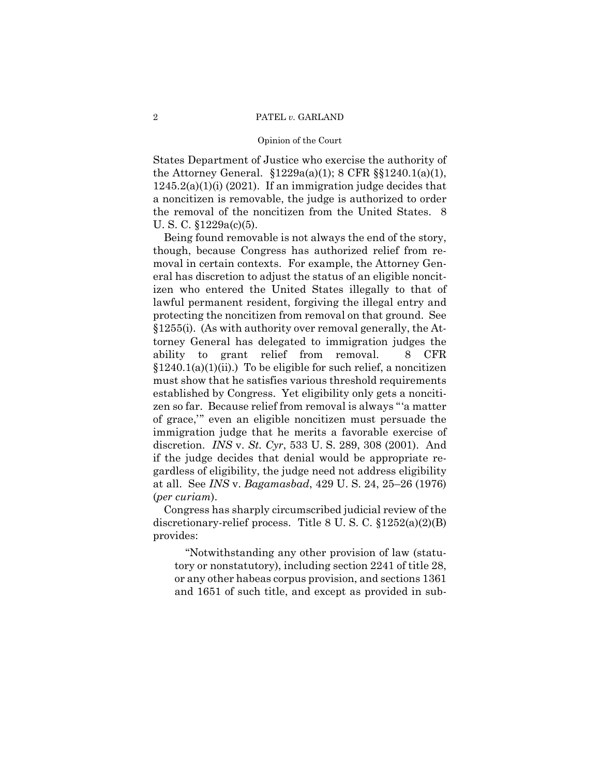# 2 PATEL *v.* GARLAND

#### Opinion of the Court

States Department of Justice who exercise the authority of the Attorney General. §1229a(a)(1); 8 CFR §§1240.1(a)(1),  $1245.2(a)(1)(i)$  (2021). If an immigration judge decides that a noncitizen is removable, the judge is authorized to order the removal of the noncitizen from the United States. 8 U. S. C. §1229a(c)(5).

Being found removable is not always the end of the story, though, because Congress has authorized relief from removal in certain contexts. For example, the Attorney General has discretion to adjust the status of an eligible noncitizen who entered the United States illegally to that of lawful permanent resident, forgiving the illegal entry and protecting the noncitizen from removal on that ground. See §1255(i). (As with authority over removal generally, the Attorney General has delegated to immigration judges the ability to grant relief from removal. 8 CFR  $§1240.1(a)(1)(ii)$ .) To be eligible for such relief, a noncitizen must show that he satisfies various threshold requirements established by Congress. Yet eligibility only gets a noncitizen so far. Because relief from removal is always "'a matter of grace,'" even an eligible noncitizen must persuade the immigration judge that he merits a favorable exercise of discretion. *INS* v. *St. Cyr*, 533 U. S. 289, 308 (2001). And if the judge decides that denial would be appropriate regardless of eligibility, the judge need not address eligibility at all. See *INS* v. *Bagamasbad*, 429 U. S. 24, 25–26 (1976) (*per curiam*).

Congress has sharply circumscribed judicial review of the discretionary-relief process. Title 8 U. S. C. §1252(a)(2)(B) provides:

"Notwithstanding any other provision of law (statutory or nonstatutory), including section 2241 of title 28, or any other habeas corpus provision, and sections 1361 and 1651 of such title, and except as provided in sub-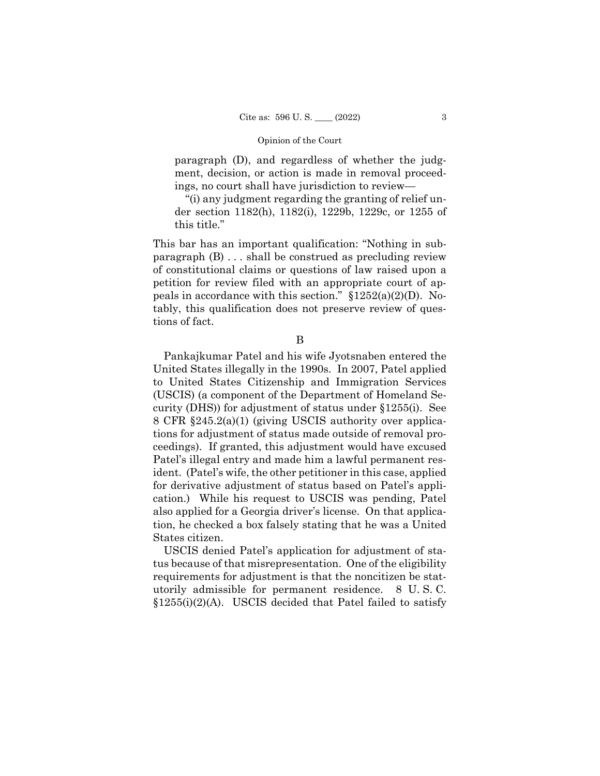paragraph (D), and regardless of whether the judgment, decision, or action is made in removal proceedings, no court shall have jurisdiction to review—

"(i) any judgment regarding the granting of relief under section 1182(h), 1182(i), 1229b, 1229c, or 1255 of this title."

This bar has an important qualification: "Nothing in subparagraph (B) . . . shall be construed as precluding review of constitutional claims or questions of law raised upon a petition for review filed with an appropriate court of appeals in accordance with this section."  $$1252(a)(2)(D)$ . Notably, this qualification does not preserve review of questions of fact.

B

Pankajkumar Patel and his wife Jyotsnaben entered the United States illegally in the 1990s. In 2007, Patel applied to United States Citizenship and Immigration Services (USCIS) (a component of the Department of Homeland Security (DHS)) for adjustment of status under §1255(i). See 8 CFR §245.2(a)(1) (giving USCIS authority over applications for adjustment of status made outside of removal proceedings). If granted, this adjustment would have excused Patel's illegal entry and made him a lawful permanent resident. (Patel's wife, the other petitioner in this case, applied for derivative adjustment of status based on Patel's application.) While his request to USCIS was pending, Patel also applied for a Georgia driver's license. On that application, he checked a box falsely stating that he was a United States citizen.

USCIS denied Patel's application for adjustment of status because of that misrepresentation. One of the eligibility requirements for adjustment is that the noncitizen be statutorily admissible for permanent residence. 8 U. S. C.  $$1255(i)(2)(A)$ . USCIS decided that Patel failed to satisfy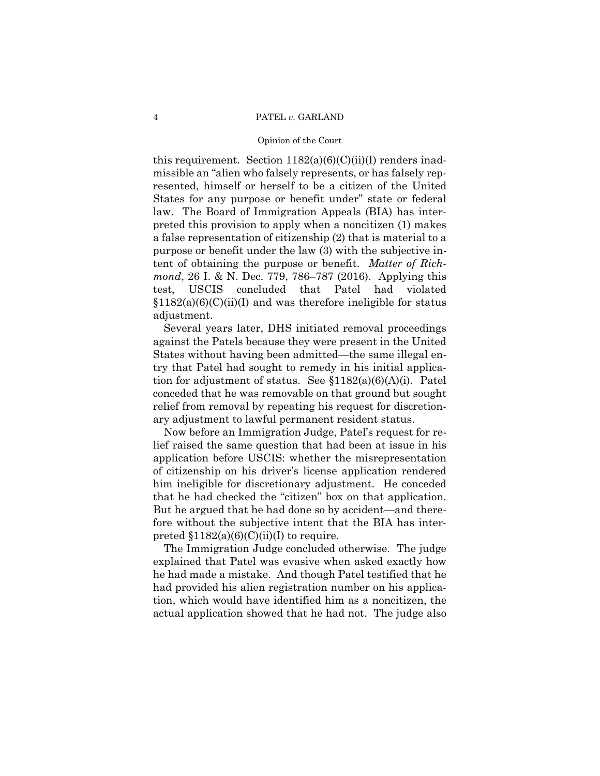# 4 PATEL *v.* GARLAND

## Opinion of the Court

this requirement. Section  $1182(a)(6)(C)(ii)(I)$  renders inadmissible an "alien who falsely represents, or has falsely represented, himself or herself to be a citizen of the United States for any purpose or benefit under" state or federal law. The Board of Immigration Appeals (BIA) has interpreted this provision to apply when a noncitizen (1) makes a false representation of citizenship (2) that is material to a purpose or benefit under the law (3) with the subjective intent of obtaining the purpose or benefit. *Matter of Richmond*, 26 I. & N. Dec. 779, 786–787 (2016). Applying this test, USCIS concluded that Patel had violated  $$1182(a)(6)(C)(ii)(I)$  and was therefore ineligible for status adjustment.

Several years later, DHS initiated removal proceedings against the Patels because they were present in the United States without having been admitted—the same illegal entry that Patel had sought to remedy in his initial application for adjustment of status. See §1182(a)(6)(A)(i). Patel conceded that he was removable on that ground but sought relief from removal by repeating his request for discretionary adjustment to lawful permanent resident status.

Now before an Immigration Judge, Patel's request for relief raised the same question that had been at issue in his application before USCIS: whether the misrepresentation of citizenship on his driver's license application rendered him ineligible for discretionary adjustment. He conceded that he had checked the "citizen" box on that application. But he argued that he had done so by accident—and therefore without the subjective intent that the BIA has interpreted  $$1182(a)(6)(C)(ii)(I)$  to require.

The Immigration Judge concluded otherwise. The judge explained that Patel was evasive when asked exactly how he had made a mistake. And though Patel testified that he had provided his alien registration number on his application, which would have identified him as a noncitizen, the actual application showed that he had not. The judge also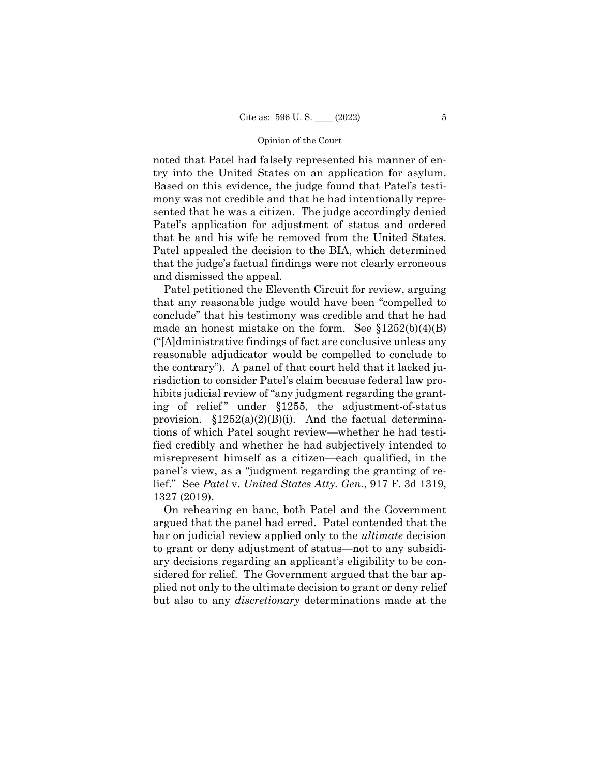noted that Patel had falsely represented his manner of entry into the United States on an application for asylum. Based on this evidence, the judge found that Patel's testimony was not credible and that he had intentionally represented that he was a citizen. The judge accordingly denied Patel's application for adjustment of status and ordered that he and his wife be removed from the United States. Patel appealed the decision to the BIA, which determined that the judge's factual findings were not clearly erroneous and dismissed the appeal.

Patel petitioned the Eleventh Circuit for review, arguing that any reasonable judge would have been "compelled to conclude" that his testimony was credible and that he had made an honest mistake on the form. See  $$1252(b)(4)(B)$ ("[A]dministrative findings of fact are conclusive unless any reasonable adjudicator would be compelled to conclude to the contrary"). A panel of that court held that it lacked jurisdiction to consider Patel's claim because federal law prohibits judicial review of "any judgment regarding the granting of relief" under  $$1255$ , the adjustment-of-status provision.  $$1252(a)(2)(B)(i)$ . And the factual determinations of which Patel sought review—whether he had testified credibly and whether he had subjectively intended to misrepresent himself as a citizen—each qualified, in the panel's view, as a "judgment regarding the granting of relief." See *Patel* v. *United States Atty. Gen.*, 917 F. 3d 1319, 1327 (2019).

On rehearing en banc, both Patel and the Government argued that the panel had erred. Patel contended that the bar on judicial review applied only to the *ultimate* decision to grant or deny adjustment of status—not to any subsidiary decisions regarding an applicant's eligibility to be considered for relief. The Government argued that the bar applied not only to the ultimate decision to grant or deny relief but also to any *discretionary* determinations made at the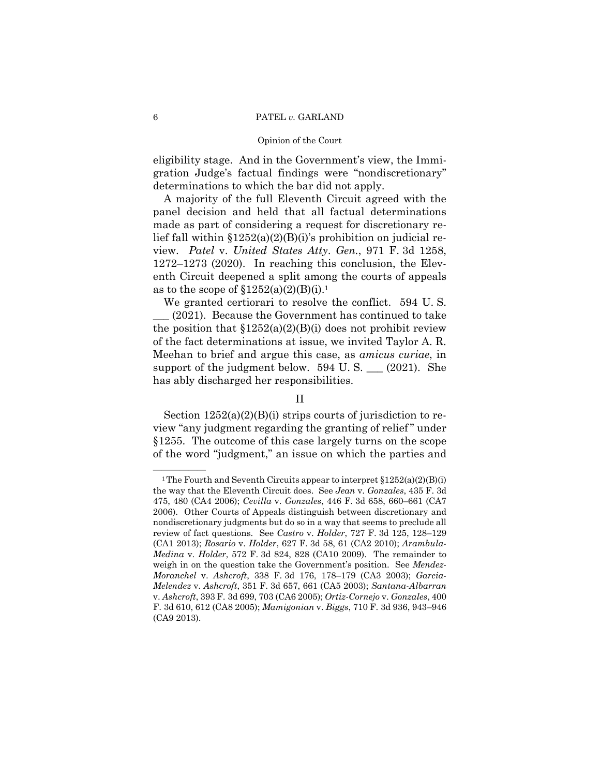## 6 PATEL *v.* GARLAND

## Opinion of the Court

eligibility stage. And in the Government's view, the Immigration Judge's factual findings were "nondiscretionary" determinations to which the bar did not apply.

A majority of the full Eleventh Circuit agreed with the panel decision and held that all factual determinations made as part of considering a request for discretionary relief fall within  $$1252(a)(2)(B)(i)$ 's prohibition on judicial review. *Patel* v. *United States Atty*. *Gen.*, 971 F. 3d 1258, 1272–1273 (2020). In reaching this conclusion, the Eleventh Circuit deepened a split among the courts of appeals as to the scope of  $$1252(a)(2)(B)(i).<sup>1</sup>$ 

 We granted certiorari to resolve the conflict. 594 U. S. \_\_\_ (2021). Because the Government has continued to take the position that  $$1252(a)(2)(B)(i)$  does not prohibit review of the fact determinations at issue, we invited Taylor A. R. Meehan to brief and argue this case, as *amicus curiae*, in support of the judgment below.  $594 \text{ U.S.}$  (2021). She has ably discharged her responsibilities.

# II

Section  $1252(a)(2)(B)(i)$  strips courts of jurisdiction to review "any judgment regarding the granting of relief " under §1255. The outcome of this case largely turns on the scope of the word "judgment," an issue on which the parties and

<sup>&</sup>lt;sup>1</sup>The Fourth and Seventh Circuits appear to interpret  $$1252(a)(2)(B)(i)$ the way that the Eleventh Circuit does. See *Jean* v. *Gonzales*, 435 F. 3d 475, 480 (CA4 2006); *Cevilla* v. *Gonzales*, 446 F. 3d 658, 660–661 (CA7 2006). Other Courts of Appeals distinguish between discretionary and nondiscretionary judgments but do so in a way that seems to preclude all review of fact questions. See *Castro* v. *Holder*, 727 F. 3d 125, 128–129 (CA1 2013); *Rosario* v. *Holder*, 627 F. 3d 58, 61 (CA2 2010); *Arambula-Medina* v. *Holder*, 572 F. 3d 824, 828 (CA10 2009). The remainder to weigh in on the question take the Government's position. See *Mendez-Moranchel* v. *Ashcroft*, 338 F. 3d 176, 178–179 (CA3 2003); *Garcia-Melendez* v. *Ashcroft*, 351 F. 3d 657, 661 (CA5 2003); *Santana-Albarran*  v. *Ashcroft*, 393 F. 3d 699, 703 (CA6 2005); *Ortiz-Cornejo* v. *Gonzales*, 400 F. 3d 610, 612 (CA8 2005); *Mamigonian* v. *Biggs*, 710 F. 3d 936, 943–946 (CA9 2013).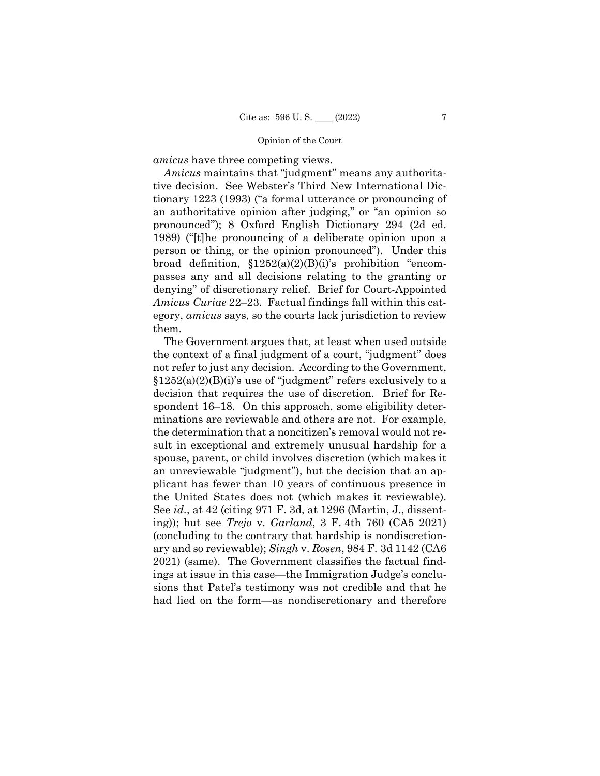*amicus* have three competing views.

*Amicus* maintains that "judgment" means any authoritative decision. See Webster's Third New International Dictionary 1223 (1993) ("a formal utterance or pronouncing of an authoritative opinion after judging," or "an opinion so pronounced"); 8 Oxford English Dictionary 294 (2d ed. 1989) ("[t]he pronouncing of a deliberate opinion upon a person or thing, or the opinion pronounced"). Under this broad definition,  $$1252(a)(2)(B)(i)$ 's prohibition "encompasses any and all decisions relating to the granting or denying" of discretionary relief. Brief for Court-Appointed *Amicus Curiae* 22–23. Factual findings fall within this category, *amicus* says, so the courts lack jurisdiction to review them.

The Government argues that, at least when used outside the context of a final judgment of a court, "judgment" does not refer to just any decision. According to the Government,  $$1252(a)(2)(B)(i)$ 's use of "judgment" refers exclusively to a decision that requires the use of discretion. Brief for Respondent 16–18. On this approach, some eligibility determinations are reviewable and others are not. For example, the determination that a noncitizen's removal would not result in exceptional and extremely unusual hardship for a spouse, parent, or child involves discretion (which makes it an unreviewable "judgment"), but the decision that an applicant has fewer than 10 years of continuous presence in the United States does not (which makes it reviewable). See *id.*, at 42 (citing 971 F. 3d, at 1296 (Martin, J., dissenting)); but see *Trejo* v. *Garland*, 3 F. 4th 760 (CA5 2021) (concluding to the contrary that hardship is nondiscretionary and so reviewable); *Singh* v. *Rosen*, 984 F. 3d 1142 (CA6 2021) (same). The Government classifies the factual findings at issue in this case—the Immigration Judge's conclusions that Patel's testimony was not credible and that he had lied on the form—as nondiscretionary and therefore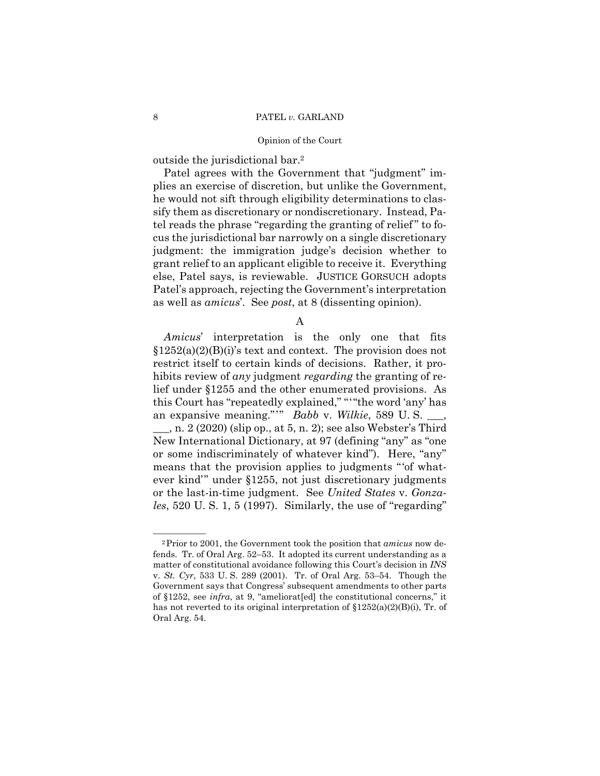outside the jurisdictional bar.2

Patel agrees with the Government that "judgment" implies an exercise of discretion, but unlike the Government, he would not sift through eligibility determinations to classify them as discretionary or nondiscretionary. Instead, Patel reads the phrase "regarding the granting of relief " to focus the jurisdictional bar narrowly on a single discretionary judgment: the immigration judge's decision whether to grant relief to an applicant eligible to receive it. Everything else, Patel says, is reviewable. JUSTICE GORSUCH adopts Patel's approach, rejecting the Government's interpretation as well as *amicus*'. See *post*, at 8 (dissenting opinion).

A

 this Court has "repeatedly explained," "'"the word 'any' has an expansive meaning."'" *Babb* v. *Wilkie*, 589 U. S. \_\_\_, *Amicus*' interpretation is the only one that fits  $$1252(a)(2)(B)(i)$ 's text and context. The provision does not restrict itself to certain kinds of decisions. Rather, it prohibits review of *any* judgment *regarding* the granting of relief under §1255 and the other enumerated provisions. As  $\ldots$ , n. 2 (2020) (slip op., at 5, n. 2); see also Webster's Third New International Dictionary, at 97 (defining "any" as "one or some indiscriminately of whatever kind"). Here, "any" means that the provision applies to judgments "'of whatever kind'" under §1255, not just discretionary judgments or the last-in-time judgment. See *United States* v. *Gonzales*, 520 U. S. 1, 5 (1997). Similarly, the use of "regarding"

<sup>&</sup>lt;sup>2</sup>Prior to 2001, the Government took the position that *amicus* now defends. Tr. of Oral Arg. 52–53. It adopted its current understanding as a matter of constitutional avoidance following this Court's decision in *INS*  v. *St. Cyr*, 533 U. S. 289 (2001). Tr. of Oral Arg. 53–54. Though the Government says that Congress' subsequent amendments to other parts of §1252, see *infra*, at 9, "ameliorat[ed] the constitutional concerns," it has not reverted to its original interpretation of  $$1252(a)(2)(B)(i)$ , Tr. of Oral Arg. 54.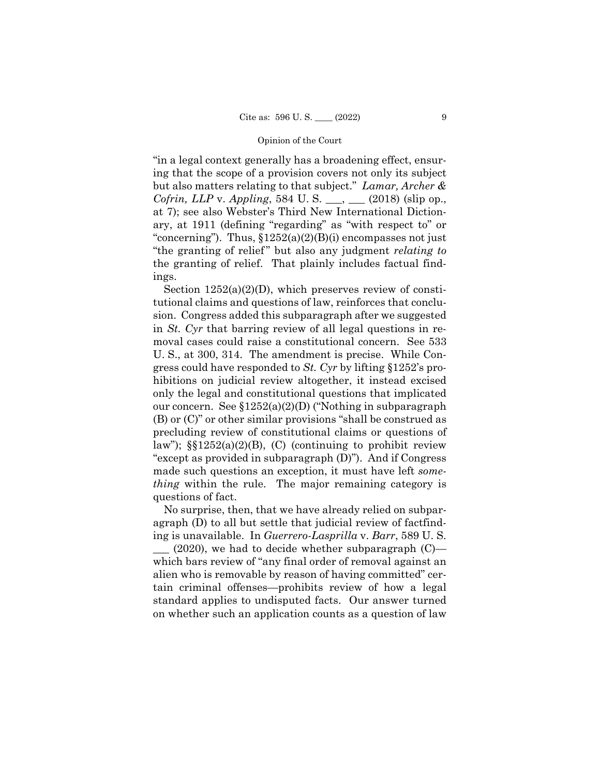"in a legal context generally has a broadening effect, ensuring that the scope of a provision covers not only its subject but also matters relating to that subject." *Lamar, Archer & Cofrin, LLP* v. *Appling*, 584 U. S. \_\_\_, \_\_\_ (2018) (slip op., at 7); see also Webster's Third New International Dictionary, at 1911 (defining "regarding" as "with respect to" or "concerning"). Thus,  $$1252(a)(2)(B)(i)$  encompasses not just "the granting of relief " but also any judgment *relating to*  the granting of relief. That plainly includes factual findings.

Section  $1252(a)(2)(D)$ , which preserves review of constitutional claims and questions of law, reinforces that conclusion. Congress added this subparagraph after we suggested in *St. Cyr* that barring review of all legal questions in removal cases could raise a constitutional concern. See 533 U. S., at 300, 314. The amendment is precise. While Congress could have responded to *St. Cyr* by lifting §1252's prohibitions on judicial review altogether, it instead excised only the legal and constitutional questions that implicated our concern. See §1252(a)(2)(D) ("Nothing in subparagraph (B) or (C)" or other similar provisions "shall be construed as precluding review of constitutional claims or questions of law");  $\S$ [1252(a)(2)(B), (C) (continuing to prohibit review "except as provided in subparagraph (D)"). And if Congress made such questions an exception, it must have left *something* within the rule. The major remaining category is questions of fact.

No surprise, then, that we have already relied on subparagraph (D) to all but settle that judicial review of factfinding is unavailable. In *Guerrero-Lasprilla* v. *Barr*, 589 U. S.

 $(2020)$ , we had to decide whether subparagraph  $(C)$  which bars review of "any final order of removal against an alien who is removable by reason of having committed" certain criminal offenses—prohibits review of how a legal standard applies to undisputed facts. Our answer turned on whether such an application counts as a question of law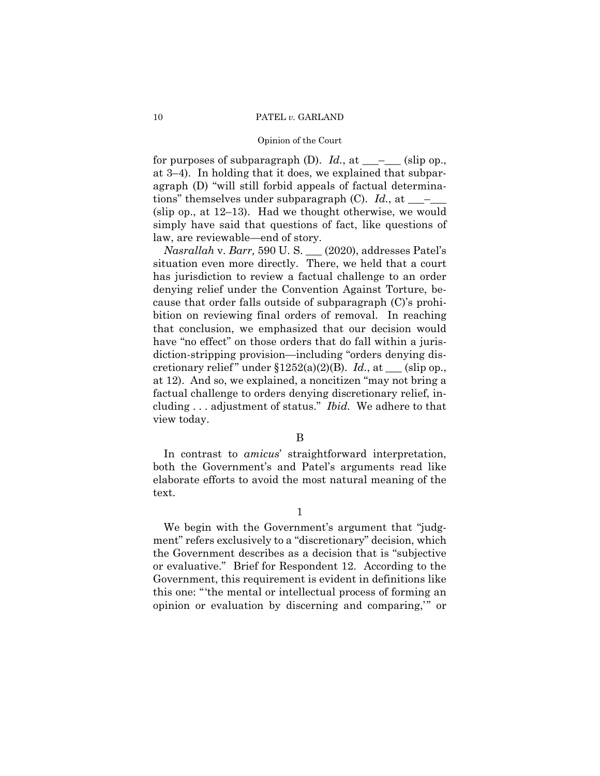for purposes of subparagraph  $(D)$ . *Id.*, at  $\_\_\_\_\_\_$  (slip op., at 3–4). In holding that it does, we explained that subparagraph (D) "will still forbid appeals of factual determinations" themselves under subparagraph (C). *Id.*, at \_\_\_–\_\_\_ (slip op., at 12–13). Had we thought otherwise, we would simply have said that questions of fact, like questions of law, are reviewable—end of story.

*Nasrallah* v. *Barr,* 590 U. S. \_\_\_ (2020), addresses Patel's situation even more directly. There, we held that a court has jurisdiction to review a factual challenge to an order denying relief under the Convention Against Torture, because that order falls outside of subparagraph (C)'s prohibition on reviewing final orders of removal. In reaching that conclusion, we emphasized that our decision would have "no effect" on those orders that do fall within a jurisdiction-stripping provision—including "orders denying discretionary relief" under §1252(a)(2)(B). *Id.*, at \_\_\_ (slip op., at 12). And so, we explained, a noncitizen "may not bring a factual challenge to orders denying discretionary relief, including . . . adjustment of status." *Ibid.* We adhere to that view today.

# B

 In contrast to *amicus*' straightforward interpretation, both the Government's and Patel's arguments read like elaborate efforts to avoid the most natural meaning of the text.

 We begin with the Government's argument that "judgment" refers exclusively to a "discretionary" decision, which the Government describes as a decision that is "subjective or evaluative." Brief for Respondent 12. According to the Government, this requirement is evident in definitions like this one: "'the mental or intellectual process of forming an opinion or evaluation by discerning and comparing,'" or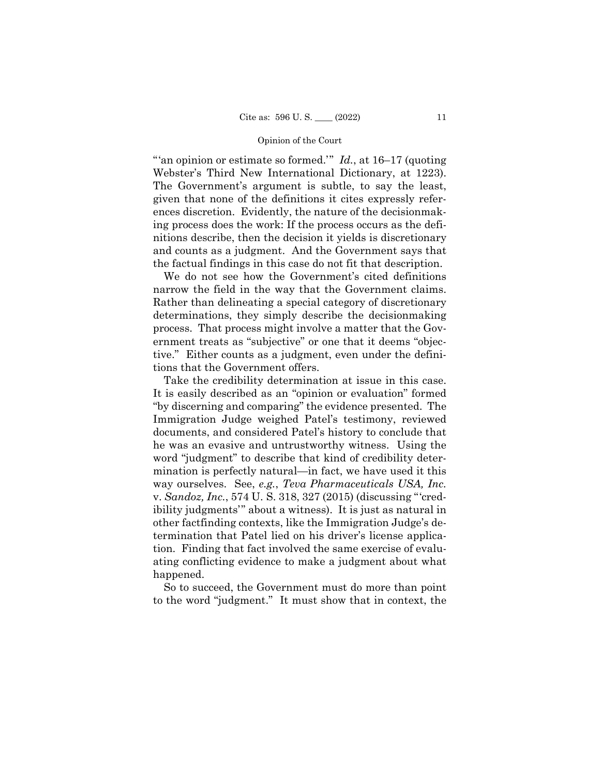"'an opinion or estimate so formed.'" *Id.*, at 16–17 (quoting Webster's Third New International Dictionary, at 1223). The Government's argument is subtle, to say the least, given that none of the definitions it cites expressly references discretion. Evidently, the nature of the decisionmaking process does the work: If the process occurs as the definitions describe, then the decision it yields is discretionary and counts as a judgment. And the Government says that the factual findings in this case do not fit that description.

 narrow the field in the way that the Government claims. We do not see how the Government's cited definitions Rather than delineating a special category of discretionary determinations, they simply describe the decisionmaking process. That process might involve a matter that the Government treats as "subjective" or one that it deems "objective." Either counts as a judgment, even under the definitions that the Government offers.

Take the credibility determination at issue in this case. It is easily described as an "opinion or evaluation" formed "by discerning and comparing" the evidence presented. The Immigration Judge weighed Patel's testimony, reviewed documents, and considered Patel's history to conclude that he was an evasive and untrustworthy witness. Using the word "judgment" to describe that kind of credibility determination is perfectly natural—in fact, we have used it this way ourselves. See, *e.g.*, *Teva Pharmaceuticals USA, Inc.*  v. *Sandoz, Inc.*, 574 U. S. 318, 327 (2015) (discussing "'credibility judgments'" about a witness). It is just as natural in other factfinding contexts, like the Immigration Judge's determination that Patel lied on his driver's license application. Finding that fact involved the same exercise of evaluating conflicting evidence to make a judgment about what happened.

So to succeed, the Government must do more than point to the word "judgment." It must show that in context, the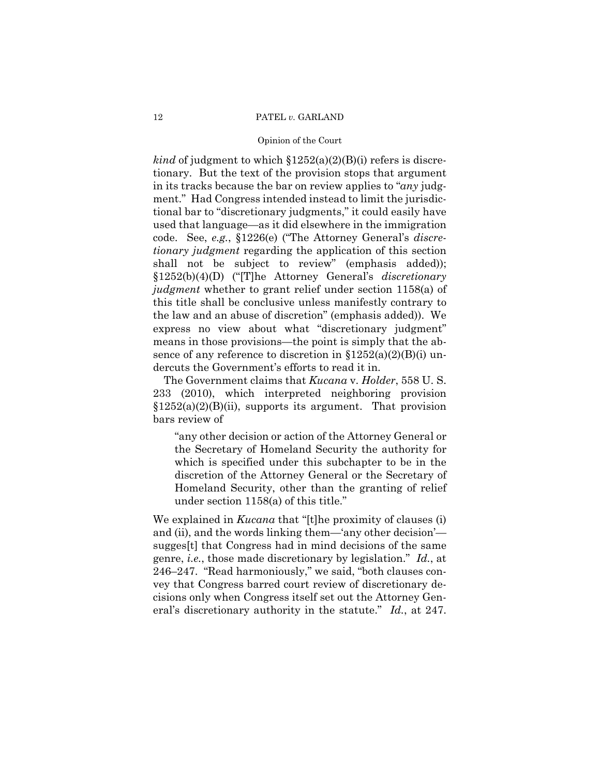### 12 PATEL *v.* GARLAND

## Opinion of the Court

*kind* of judgment to which  $$1252(a)(2)(B)(i)$  refers is discretionary. But the text of the provision stops that argument in its tracks because the bar on review applies to "*any* judgment." Had Congress intended instead to limit the jurisdictional bar to "discretionary judgments," it could easily have used that language—as it did elsewhere in the immigration code. See, *e.g.*, §1226(e) ("The Attorney General's *discretionary judgment* regarding the application of this section shall not be subject to review" (emphasis added)); §1252(b)(4)(D) ("[T]he Attorney General's *discretionary judgment* whether to grant relief under section 1158(a) of this title shall be conclusive unless manifestly contrary to the law and an abuse of discretion" (emphasis added)). We express no view about what "discretionary judgment" means in those provisions—the point is simply that the absence of any reference to discretion in  $$1252(a)(2)(B)(i)$  undercuts the Government's efforts to read it in.

The Government claims that *Kucana* v. *Holder*, 558 U. S. 233 (2010), which interpreted neighboring provision §1252(a)(2)(B)(ii), supports its argument. That provision bars review of

"any other decision or action of the Attorney General or the Secretary of Homeland Security the authority for which is specified under this subchapter to be in the discretion of the Attorney General or the Secretary of Homeland Security, other than the granting of relief under section 1158(a) of this title."

We explained in *Kucana* that "[t]he proximity of clauses (i) and (ii), and the words linking them—'any other decision' sugges[t] that Congress had in mind decisions of the same genre, *i.e.*, those made discretionary by legislation." *Id.*, at 246–247. "Read harmoniously," we said, "both clauses convey that Congress barred court review of discretionary decisions only when Congress itself set out the Attorney General's discretionary authority in the statute." *Id.*, at 247.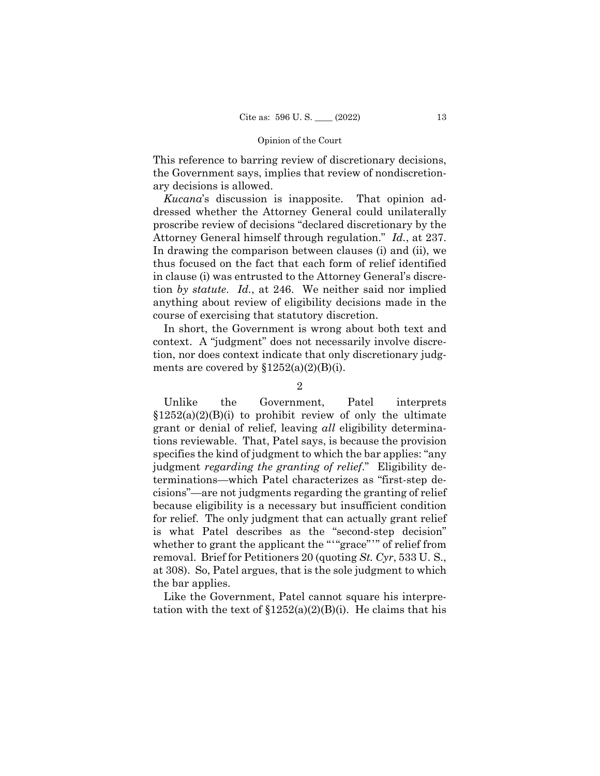This reference to barring review of discretionary decisions, the Government says, implies that review of nondiscretionary decisions is allowed.

*Kucana*'s discussion is inapposite. That opinion addressed whether the Attorney General could unilaterally proscribe review of decisions "declared discretionary by the Attorney General himself through regulation." *Id.*, at 237. In drawing the comparison between clauses (i) and (ii), we thus focused on the fact that each form of relief identified in clause (i) was entrusted to the Attorney General's discretion *by statute*. *Id.*, at 246. We neither said nor implied anything about review of eligibility decisions made in the course of exercising that statutory discretion.

In short, the Government is wrong about both text and context. A "judgment" does not necessarily involve discretion, nor does context indicate that only discretionary judgments are covered by  $$1252(a)(2)(B)(i)$ .

# $\Omega$

whether to grant the applicant the ""grace"" of relief from Unlike the Government, Patel interprets  $$1252(a)(2)(B)(i)$  to prohibit review of only the ultimate grant or denial of relief, leaving *all* eligibility determinations reviewable. That, Patel says, is because the provision specifies the kind of judgment to which the bar applies: "any judgment *regarding the granting of relief*." Eligibility determinations—which Patel characterizes as "first-step decisions"—are not judgments regarding the granting of relief because eligibility is a necessary but insufficient condition for relief. The only judgment that can actually grant relief is what Patel describes as the "second-step decision" removal. Brief for Petitioners 20 (quoting *St. Cyr*, 533 U. S., at 308). So, Patel argues, that is the sole judgment to which the bar applies.

Like the Government, Patel cannot square his interpretation with the text of  $$1252(a)(2)(B)(i)$ . He claims that his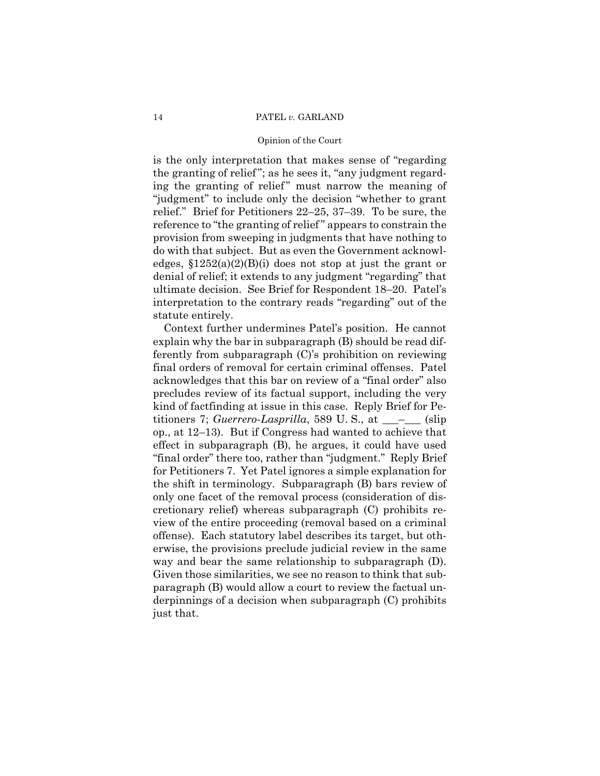is the only interpretation that makes sense of "regarding the granting of relief "; as he sees it, "any judgment regarding the granting of relief" must narrow the meaning of "judgment" to include only the decision "whether to grant relief." Brief for Petitioners 22–25, 37–39. To be sure, the reference to "the granting of relief " appears to constrain the provision from sweeping in judgments that have nothing to do with that subject. But as even the Government acknowledges,  $$1252(a)(2)(B)(i)$  does not stop at just the grant or denial of relief; it extends to any judgment "regarding" that ultimate decision. See Brief for Respondent 18–20. Patel's interpretation to the contrary reads "regarding" out of the statute entirely.

Context further undermines Patel's position. He cannot explain why the bar in subparagraph (B) should be read differently from subparagraph (C)'s prohibition on reviewing final orders of removal for certain criminal offenses. Patel acknowledges that this bar on review of a "final order" also precludes review of its factual support, including the very kind of factfinding at issue in this case. Reply Brief for Petitioners 7; *Guerrero-Lasprilla*, 589 U.S., at \_\_\_<sup>\_</sup>\_\_\_ (slip op., at 12–13). But if Congress had wanted to achieve that effect in subparagraph (B), he argues, it could have used "final order" there too, rather than "judgment." Reply Brief for Petitioners 7. Yet Patel ignores a simple explanation for the shift in terminology. Subparagraph (B) bars review of only one facet of the removal process (consideration of discretionary relief) whereas subparagraph (C) prohibits review of the entire proceeding (removal based on a criminal offense). Each statutory label describes its target, but otherwise, the provisions preclude judicial review in the same way and bear the same relationship to subparagraph (D). Given those similarities, we see no reason to think that subparagraph (B) would allow a court to review the factual underpinnings of a decision when subparagraph (C) prohibits just that.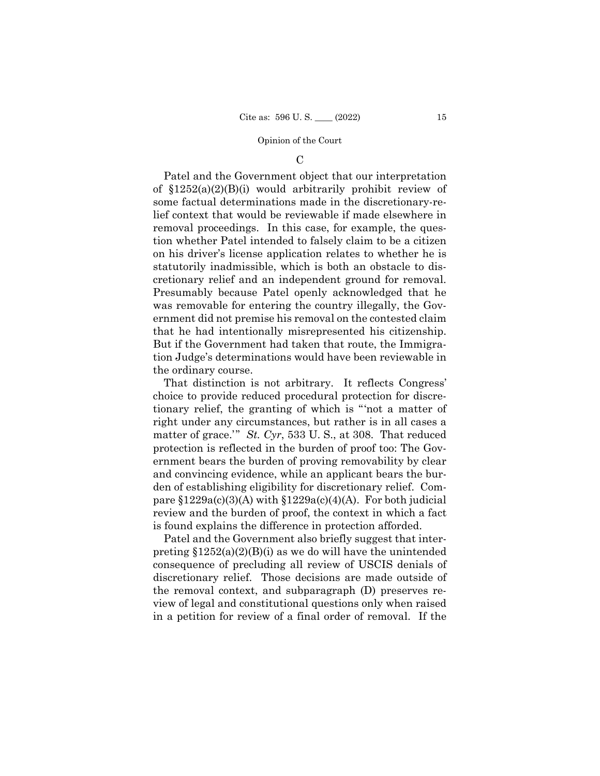$\mathcal{C}$ 

 cretionary relief and an independent ground for removal. Patel and the Government object that our interpretation of §1252(a)(2)(B)(i) would arbitrarily prohibit review of some factual determinations made in the discretionary-relief context that would be reviewable if made elsewhere in removal proceedings. In this case, for example, the question whether Patel intended to falsely claim to be a citizen on his driver's license application relates to whether he is statutorily inadmissible, which is both an obstacle to dis-Presumably because Patel openly acknowledged that he was removable for entering the country illegally, the Government did not premise his removal on the contested claim that he had intentionally misrepresented his citizenship. But if the Government had taken that route, the Immigration Judge's determinations would have been reviewable in the ordinary course.

That distinction is not arbitrary. It reflects Congress' choice to provide reduced procedural protection for discretionary relief, the granting of which is "'not a matter of right under any circumstances, but rather is in all cases a matter of grace.'" *St. Cyr*, 533 U. S., at 308. That reduced protection is reflected in the burden of proof too: The Government bears the burden of proving removability by clear and convincing evidence, while an applicant bears the burden of establishing eligibility for discretionary relief. Compare  $$1229a(c)(3)(A)$  with  $$1229a(c)(4)(A)$ . For both judicial review and the burden of proof, the context in which a fact is found explains the difference in protection afforded.

Patel and the Government also briefly suggest that interpreting  $$1252(a)(2)(B)(i)$  as we do will have the unintended consequence of precluding all review of USCIS denials of discretionary relief. Those decisions are made outside of the removal context, and subparagraph (D) preserves review of legal and constitutional questions only when raised in a petition for review of a final order of removal. If the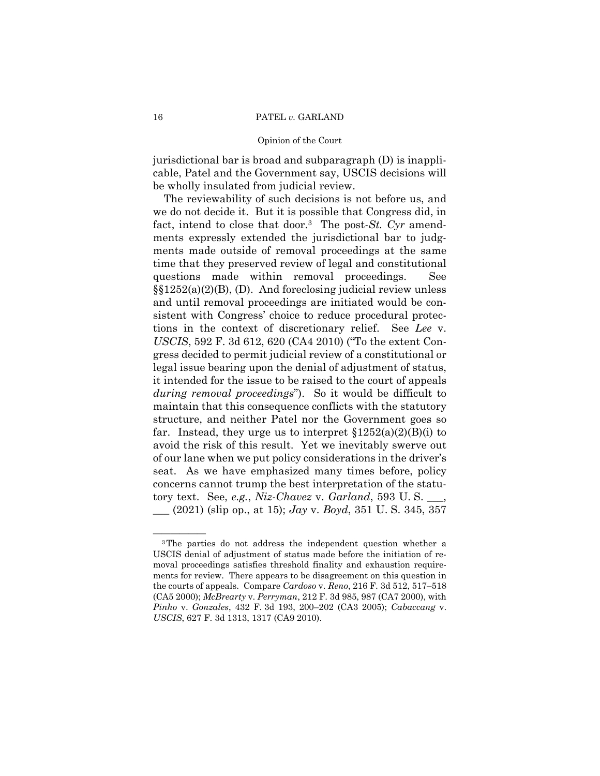jurisdictional bar is broad and subparagraph (D) is inapplicable, Patel and the Government say, USCIS decisions will be wholly insulated from judicial review.

The reviewability of such decisions is not before us, and we do not decide it. But it is possible that Congress did, in fact, intend to close that door.3 The post-*St. Cyr* amendments expressly extended the jurisdictional bar to judgments made outside of removal proceedings at the same time that they preserved review of legal and constitutional questions made within removal proceedings. See §§1252(a)(2)(B), (D). And foreclosing judicial review unless and until removal proceedings are initiated would be consistent with Congress' choice to reduce procedural protections in the context of discretionary relief. See *Lee* v. *USCIS*, 592 F. 3d 612, 620 (CA4 2010) ("To the extent Congress decided to permit judicial review of a constitutional or legal issue bearing upon the denial of adjustment of status, it intended for the issue to be raised to the court of appeals *during removal proceedings*"). So it would be difficult to maintain that this consequence conflicts with the statutory structure, and neither Patel nor the Government goes so far. Instead, they urge us to interpret  $$1252(a)(2)(B)(i)$  to avoid the risk of this result. Yet we inevitably swerve out of our lane when we put policy considerations in the driver's seat. As we have emphasized many times before, policy concerns cannot trump the best interpretation of the statutory text. See, *e.g.*, *Niz-Chavez* v. *Garland*, 593 U. S. \_\_\_, \_\_\_ (2021) (slip op., at 15); *Jay* v. *Boyd*, 351 U. S. 345, 357

<sup>&</sup>lt;sup>3</sup>The parties do not address the independent question whether a USCIS denial of adjustment of status made before the initiation of removal proceedings satisfies threshold finality and exhaustion requirements for review. There appears to be disagreement on this question in the courts of appeals. Compare *Cardoso* v. *Reno*, 216 F. 3d 512, 517–518 (CA5 2000); *McBrearty* v. *Perryman*, 212 F. 3d 985, 987 (CA7 2000), with *Pinho* v. *Gonzales*, 432 F. 3d 193, 200–202 (CA3 2005); *Cabaccang* v. *USCIS*, 627 F. 3d 1313, 1317 (CA9 2010).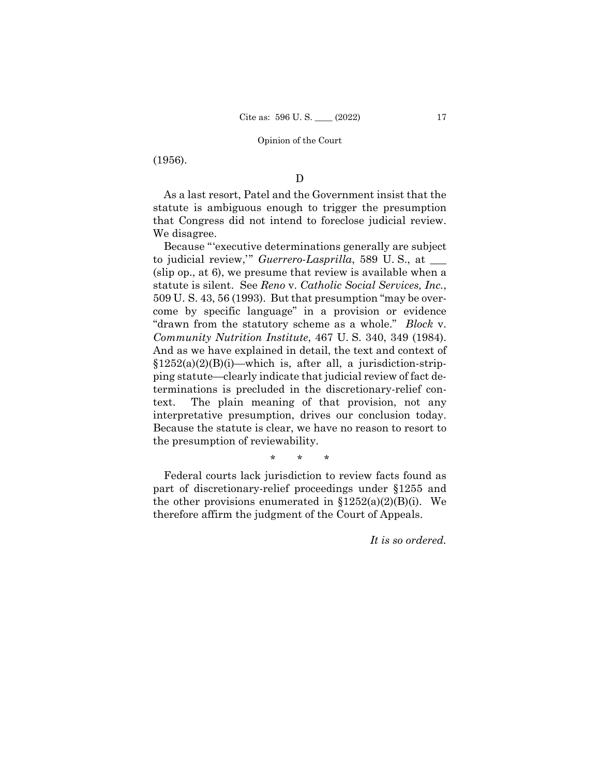(1956).

# D

As a last resort, Patel and the Government insist that the statute is ambiguous enough to trigger the presumption that Congress did not intend to foreclose judicial review. We disagree.

Because "'executive determinations generally are subject to judicial review,'" *Guerrero-Lasprilla*, 589 U. S., at \_\_\_ (slip op., at 6), we presume that review is available when a statute is silent. See *Reno* v. *Catholic Social Services, Inc.*, 509 U. S. 43, 56 (1993). But that presumption "may be overcome by specific language" in a provision or evidence "drawn from the statutory scheme as a whole." *Block* v. *Community Nutrition Institute*, 467 U. S. 340, 349 (1984). And as we have explained in detail, the text and context of  $$1252(a)(2)(B)(i)$ —which is, after all, a jurisdiction-stripping statute—clearly indicate that judicial review of fact determinations is precluded in the discretionary-relief context. The plain meaning of that provision, not any interpretative presumption, drives our conclusion today. Because the statute is clear, we have no reason to resort to the presumption of reviewability.

\* \* \*

Federal courts lack jurisdiction to review facts found as part of discretionary-relief proceedings under §1255 and the other provisions enumerated in  $$1252(a)(2)(B)(i)$ . We therefore affirm the judgment of the Court of Appeals.

*It is so ordered.*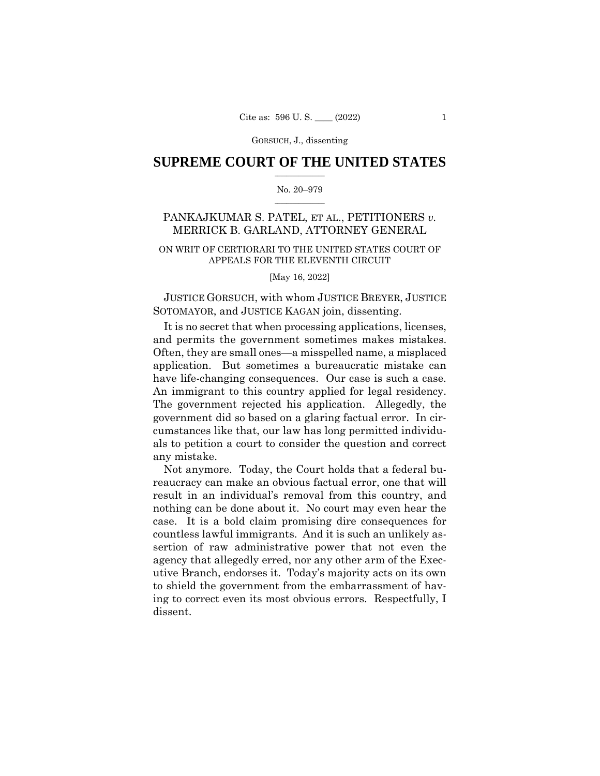# $\frac{1}{2}$  ,  $\frac{1}{2}$  ,  $\frac{1}{2}$  ,  $\frac{1}{2}$  ,  $\frac{1}{2}$  ,  $\frac{1}{2}$  ,  $\frac{1}{2}$ **SUPREME COURT OF THE UNITED STATES**

## $\frac{1}{2}$  ,  $\frac{1}{2}$  ,  $\frac{1}{2}$  ,  $\frac{1}{2}$  ,  $\frac{1}{2}$  ,  $\frac{1}{2}$ No. 20–979

# PANKAJKUMAR S. PATEL, ET AL., PETITIONERS *v.*  MERRICK B. GARLAND, ATTORNEY GENERAL

# ON WRIT OF CERTIORARI TO THE UNITED STATES COURT OF APPEALS FOR THE ELEVENTH CIRCUIT

[May 16, 2022]

JUSTICE GORSUCH, with whom JUSTICE BREYER, JUSTICE SOTOMAYOR, and JUSTICE KAGAN join, dissenting.

have life-changing consequences. Our case is such a case. It is no secret that when processing applications, licenses, and permits the government sometimes makes mistakes. Often, they are small ones—a misspelled name, a misplaced application. But sometimes a bureaucratic mistake can An immigrant to this country applied for legal residency. The government rejected his application. Allegedly, the government did so based on a glaring factual error. In circumstances like that, our law has long permitted individuals to petition a court to consider the question and correct any mistake.

Not anymore. Today, the Court holds that a federal bureaucracy can make an obvious factual error, one that will result in an individual's removal from this country, and nothing can be done about it. No court may even hear the case. It is a bold claim promising dire consequences for countless lawful immigrants. And it is such an unlikely assertion of raw administrative power that not even the agency that allegedly erred, nor any other arm of the Executive Branch, endorses it. Today's majority acts on its own to shield the government from the embarrassment of having to correct even its most obvious errors. Respectfully, I dissent.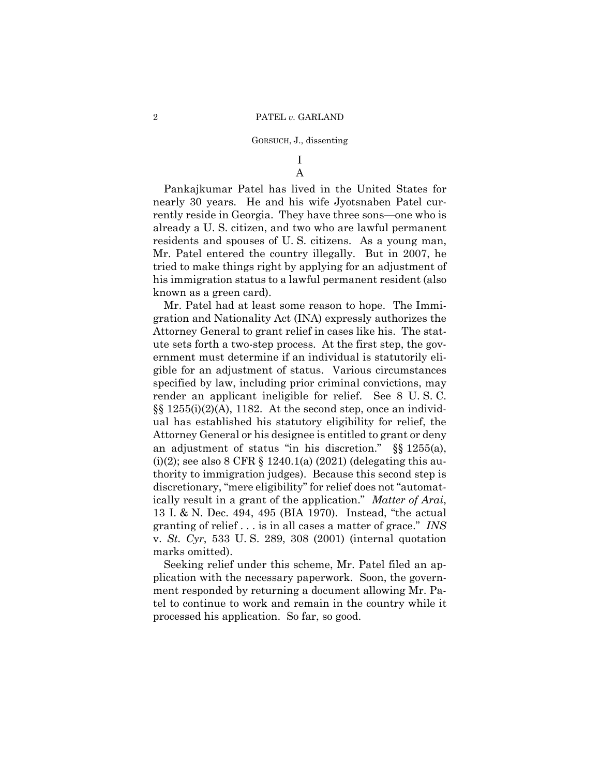# I A

Pankajkumar Patel has lived in the United States for nearly 30 years. He and his wife Jyotsnaben Patel currently reside in Georgia. They have three sons—one who is already a U. S. citizen, and two who are lawful permanent residents and spouses of U. S. citizens. As a young man, Mr. Patel entered the country illegally. But in 2007, he tried to make things right by applying for an adjustment of his immigration status to a lawful permanent resident (also known as a green card).

13 I. & N. Dec. 494, 495 (BIA 1970). Instead, "the actual Mr. Patel had at least some reason to hope. The Immigration and Nationality Act (INA) expressly authorizes the Attorney General to grant relief in cases like his. The statute sets forth a two-step process. At the first step, the government must determine if an individual is statutorily eligible for an adjustment of status. Various circumstances specified by law, including prior criminal convictions, may render an applicant ineligible for relief. See 8 U. S. C.  $\S$ [§ 1255(i)(2)(A), 1182. At the second step, once an individual has established his statutory eligibility for relief, the Attorney General or his designee is entitled to grant or deny an adjustment of status "in his discretion." §§ 1255(a), (i)(2); see also 8 CFR  $\S$  1240.1(a) (2021) (delegating this authority to immigration judges). Because this second step is discretionary, "mere eligibility" for relief does not "automatically result in a grant of the application." *Matter of Arai*, granting of relief . . . is in all cases a matter of grace." *INS*  v. *St. Cyr*, 533 U. S. 289, 308 (2001) (internal quotation marks omitted).

Seeking relief under this scheme, Mr. Patel filed an application with the necessary paperwork. Soon, the government responded by returning a document allowing Mr. Patel to continue to work and remain in the country while it processed his application. So far, so good.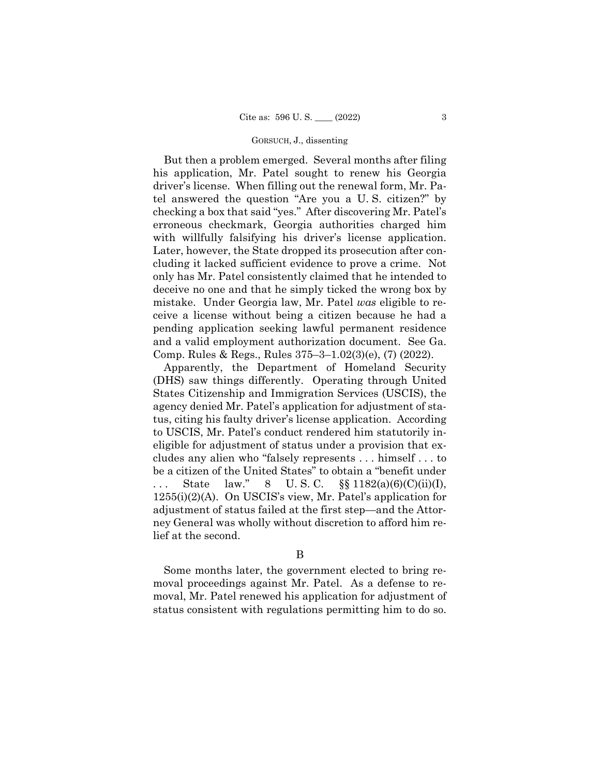But then a problem emerged. Several months after filing his application, Mr. Patel sought to renew his Georgia driver's license. When filling out the renewal form, Mr. Patel answered the question "Are you a U. S. citizen?" by checking a box that said "yes." After discovering Mr. Patel's erroneous checkmark, Georgia authorities charged him with willfully falsifying his driver's license application. Later, however, the State dropped its prosecution after concluding it lacked sufficient evidence to prove a crime. Not only has Mr. Patel consistently claimed that he intended to deceive no one and that he simply ticked the wrong box by mistake. Under Georgia law, Mr. Patel *was* eligible to receive a license without being a citizen because he had a pending application seeking lawful permanent residence and a valid employment authorization document. See Ga. Comp. Rules & Regs., Rules 375–3–1.02(3)(e), (7) (2022).

Apparently, the Department of Homeland Security (DHS) saw things differently. Operating through United States Citizenship and Immigration Services (USCIS), the agency denied Mr. Patel's application for adjustment of status, citing his faulty driver's license application. According to USCIS, Mr. Patel's conduct rendered him statutorily ineligible for adjustment of status under a provision that excludes any alien who "falsely represents . . . himself . . . to be a citizen of the United States" to obtain a "benefit under ... State law." 8 U.S.C.  $\S\S 1182(a)(6)(C)(ii)(I),$ 1255(i)(2)(A). On USCIS's view, Mr. Patel's application for adjustment of status failed at the first step—and the Attorney General was wholly without discretion to afford him relief at the second.

Some months later, the government elected to bring removal proceedings against Mr. Patel. As a defense to removal, Mr. Patel renewed his application for adjustment of status consistent with regulations permitting him to do so.

B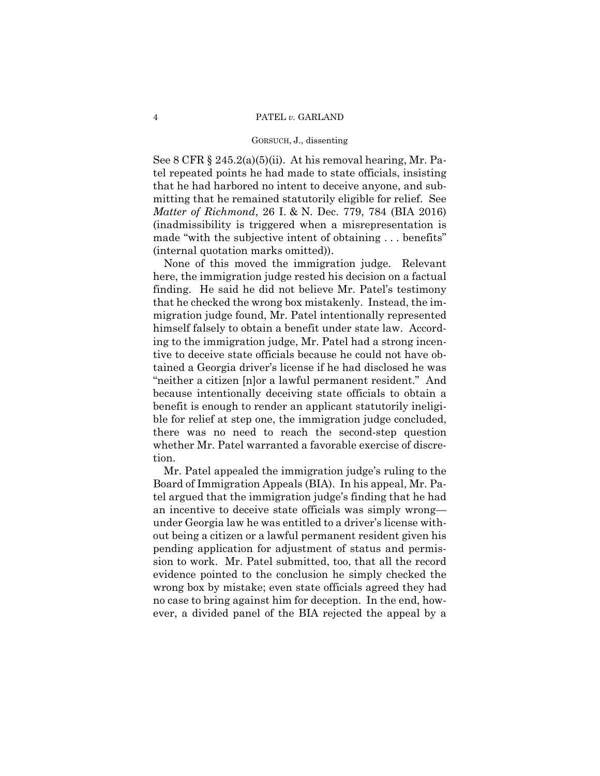See 8 CFR § 245.2(a)(5)(ii). At his removal hearing, Mr. Patel repeated points he had made to state officials, insisting that he had harbored no intent to deceive anyone, and submitting that he remained statutorily eligible for relief. See *Matter of Richmond*, 26 I. & N. Dec. 779, 784 (BIA 2016) (inadmissibility is triggered when a misrepresentation is made "with the subjective intent of obtaining . . . benefits" (internal quotation marks omitted)).

None of this moved the immigration judge. Relevant here, the immigration judge rested his decision on a factual finding. He said he did not believe Mr. Patel's testimony that he checked the wrong box mistakenly. Instead, the immigration judge found, Mr. Patel intentionally represented himself falsely to obtain a benefit under state law. According to the immigration judge, Mr. Patel had a strong incentive to deceive state officials because he could not have obtained a Georgia driver's license if he had disclosed he was "neither a citizen [n]or a lawful permanent resident." And because intentionally deceiving state officials to obtain a benefit is enough to render an applicant statutorily ineligible for relief at step one, the immigration judge concluded, there was no need to reach the second-step question whether Mr. Patel warranted a favorable exercise of discretion.

Mr. Patel appealed the immigration judge's ruling to the Board of Immigration Appeals (BIA). In his appeal, Mr. Patel argued that the immigration judge's finding that he had an incentive to deceive state officials was simply wrong under Georgia law he was entitled to a driver's license without being a citizen or a lawful permanent resident given his pending application for adjustment of status and permission to work. Mr. Patel submitted, too, that all the record evidence pointed to the conclusion he simply checked the wrong box by mistake; even state officials agreed they had no case to bring against him for deception. In the end, however, a divided panel of the BIA rejected the appeal by a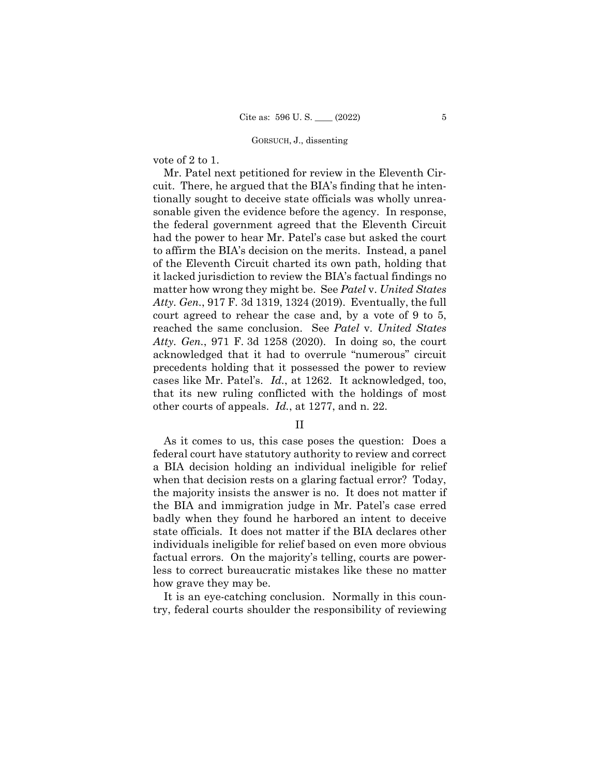vote of 2 to 1.

 cases like Mr. Patel's. *Id.*, at 1262. It acknowledged, too, Mr. Patel next petitioned for review in the Eleventh Circuit. There, he argued that the BIA's finding that he intentionally sought to deceive state officials was wholly unreasonable given the evidence before the agency. In response, the federal government agreed that the Eleventh Circuit had the power to hear Mr. Patel's case but asked the court to affirm the BIA's decision on the merits. Instead, a panel of the Eleventh Circuit charted its own path, holding that it lacked jurisdiction to review the BIA's factual findings no matter how wrong they might be. See *Patel* v. *United States Atty. Gen.*, 917 F. 3d 1319, 1324 (2019). Eventually, the full court agreed to rehear the case and, by a vote of 9 to 5, reached the same conclusion. See *Patel* v. *United States Atty. Gen.*, 971 F. 3d 1258 (2020). In doing so, the court acknowledged that it had to overrule "numerous" circuit precedents holding that it possessed the power to review that its new ruling conflicted with the holdings of most other courts of appeals. *Id.*, at 1277, and n. 22.

# II

As it comes to us, this case poses the question: Does a federal court have statutory authority to review and correct a BIA decision holding an individual ineligible for relief when that decision rests on a glaring factual error? Today, the majority insists the answer is no. It does not matter if the BIA and immigration judge in Mr. Patel's case erred badly when they found he harbored an intent to deceive state officials. It does not matter if the BIA declares other individuals ineligible for relief based on even more obvious factual errors. On the majority's telling, courts are powerless to correct bureaucratic mistakes like these no matter how grave they may be.

It is an eye-catching conclusion. Normally in this country, federal courts shoulder the responsibility of reviewing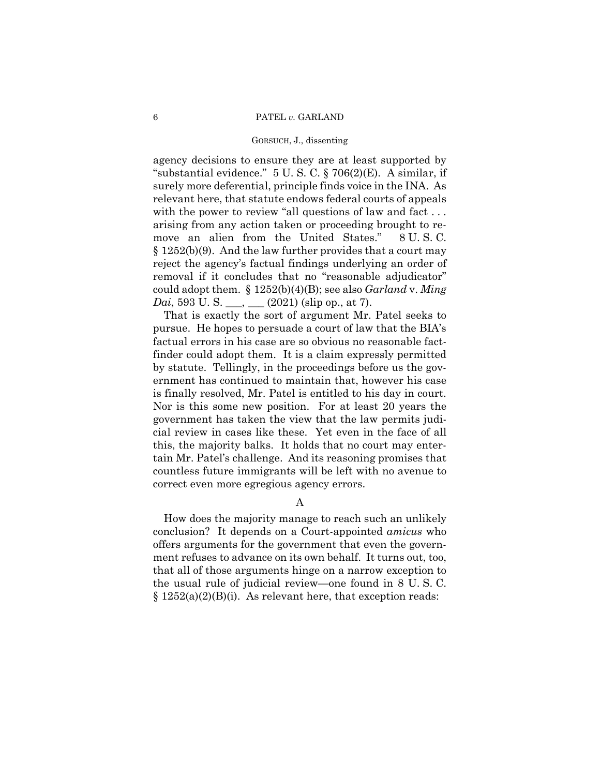agency decisions to ensure they are at least supported by "substantial evidence." 5 U. S. C. § 706(2)(E). A similar, if surely more deferential, principle finds voice in the INA. As relevant here, that statute endows federal courts of appeals with the power to review "all questions of law and fact ... arising from any action taken or proceeding brought to remove an alien from the United States." 8 U. S. C. § 1252(b)(9). And the law further provides that a court may reject the agency's factual findings underlying an order of removal if it concludes that no "reasonable adjudicator" could adopt them. § 1252(b)(4)(B); see also *Garland* v. *Ming Dai*, 593 U. S. <sub>\_\_\_</sub>, \_\_\_ (2021) (slip op., at 7).

That is exactly the sort of argument Mr. Patel seeks to pursue. He hopes to persuade a court of law that the BIA's factual errors in his case are so obvious no reasonable factfinder could adopt them. It is a claim expressly permitted by statute. Tellingly, in the proceedings before us the government has continued to maintain that, however his case is finally resolved, Mr. Patel is entitled to his day in court. Nor is this some new position. For at least 20 years the government has taken the view that the law permits judicial review in cases like these. Yet even in the face of all this, the majority balks. It holds that no court may entertain Mr. Patel's challenge. And its reasoning promises that countless future immigrants will be left with no avenue to correct even more egregious agency errors.

A

 the usual rule of judicial review—one found in 8 U. S. C. How does the majority manage to reach such an unlikely conclusion? It depends on a Court-appointed *amicus* who offers arguments for the government that even the government refuses to advance on its own behalf. It turns out, too, that all of those arguments hinge on a narrow exception to  $§ 1252(a)(2)(B)(i)$ . As relevant here, that exception reads: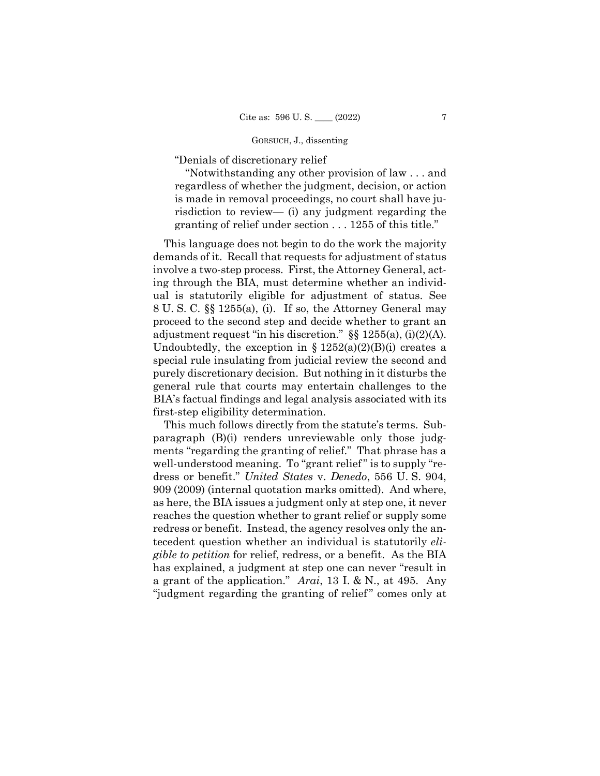"Denials of discretionary relief

"Notwithstanding any other provision of law . . . and regardless of whether the judgment, decision, or action is made in removal proceedings, no court shall have jurisdiction to review— (i) any judgment regarding the granting of relief under section . . . 1255 of this title."

This language does not begin to do the work the majority demands of it. Recall that requests for adjustment of status involve a two-step process. First, the Attorney General, acting through the BIA, must determine whether an individual is statutorily eligible for adjustment of status. See 8 U. S. C. §§ 1255(a), (i). If so, the Attorney General may proceed to the second step and decide whether to grant an adjustment request "in his discretion." §§ 1255(a), (i)(2)(A). Undoubtedly, the exception in  $\S 1252(a)(2)(B)(i)$  creates a special rule insulating from judicial review the second and purely discretionary decision. But nothing in it disturbs the general rule that courts may entertain challenges to the BIA's factual findings and legal analysis associated with its first-step eligibility determination.

This much follows directly from the statute's terms. Subparagraph (B)(i) renders unreviewable only those judgments "regarding the granting of relief." That phrase has a well-understood meaning. To "grant relief" is to supply "redress or benefit." *United States* v. *Denedo*, 556 U. S. 904, 909 (2009) (internal quotation marks omitted). And where, as here, the BIA issues a judgment only at step one, it never reaches the question whether to grant relief or supply some redress or benefit. Instead, the agency resolves only the antecedent question whether an individual is statutorily *eligible to petition* for relief, redress, or a benefit. As the BIA has explained, a judgment at step one can never "result in a grant of the application." *Arai*, 13 I. & N., at 495. Any "judgment regarding the granting of relief" comes only at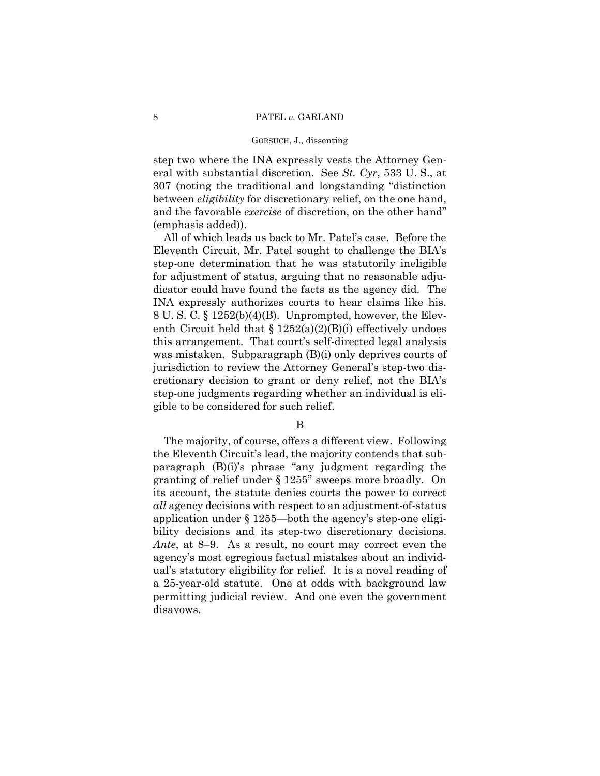step two where the INA expressly vests the Attorney General with substantial discretion. See *St. Cyr*, 533 U. S., at 307 (noting the traditional and longstanding "distinction between *eligibility* for discretionary relief, on the one hand, and the favorable *exercise* of discretion, on the other hand" (emphasis added)).

All of which leads us back to Mr. Patel's case. Before the Eleventh Circuit, Mr. Patel sought to challenge the BIA's step-one determination that he was statutorily ineligible for adjustment of status, arguing that no reasonable adjudicator could have found the facts as the agency did. The INA expressly authorizes courts to hear claims like his. 8 U. S. C. § 1252(b)(4)(B). Unprompted, however, the Eleventh Circuit held that  $\S 1252(a)(2)(B)(i)$  effectively undoes this arrangement. That court's self-directed legal analysis was mistaken. Subparagraph (B)(i) only deprives courts of jurisdiction to review the Attorney General's step-two discretionary decision to grant or deny relief, not the BIA's step-one judgments regarding whether an individual is eligible to be considered for such relief.

B

 bility decisions and its step-two discretionary decisions. The majority, of course, offers a different view. Following the Eleventh Circuit's lead, the majority contends that subparagraph (B)(i)'s phrase "any judgment regarding the granting of relief under § 1255" sweeps more broadly. On its account, the statute denies courts the power to correct *all* agency decisions with respect to an adjustment-of-status application under § 1255—both the agency's step-one eligi-*Ante*, at 8–9. As a result, no court may correct even the agency's most egregious factual mistakes about an individual's statutory eligibility for relief. It is a novel reading of a 25-year-old statute. One at odds with background law permitting judicial review. And one even the government disavows.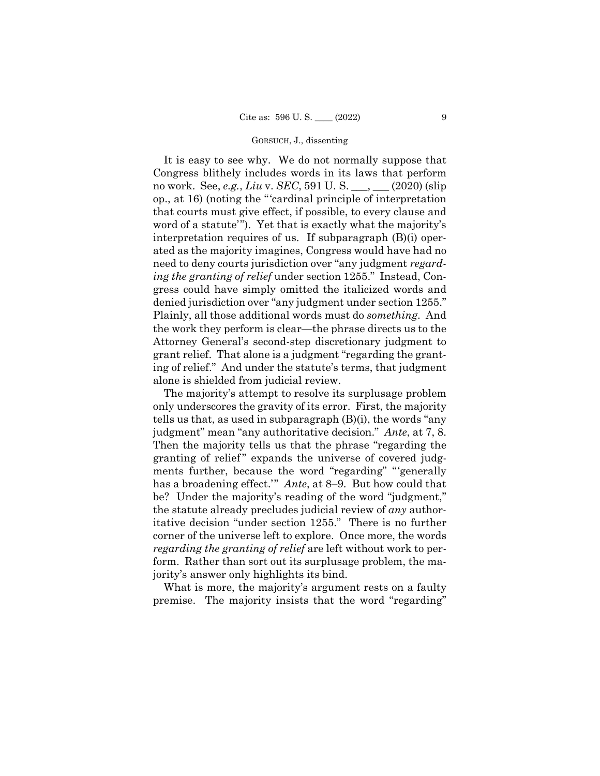It is easy to see why. We do not normally suppose that Congress blithely includes words in its laws that perform no work. See, *e.g.*, *Liu* v. *SEC*, 591 U. S. \_\_\_, \_\_\_ (2020) (slip op., at 16) (noting the "'cardinal principle of interpretation that courts must give effect, if possible, to every clause and word of a statute'"). Yet that is exactly what the majority's interpretation requires of us. If subparagraph (B)(i) operated as the majority imagines, Congress would have had no need to deny courts jurisdiction over "any judgment *regarding the granting of relief* under section 1255." Instead, Congress could have simply omitted the italicized words and denied jurisdiction over "any judgment under section 1255." Plainly, all those additional words must do *something*. And the work they perform is clear—the phrase directs us to the Attorney General's second-step discretionary judgment to grant relief. That alone is a judgment "regarding the granting of relief." And under the statute's terms, that judgment alone is shielded from judicial review.

The majority's attempt to resolve its surplusage problem only underscores the gravity of its error. First, the majority tells us that, as used in subparagraph (B)(i), the words "any judgment" mean "any authoritative decision." *Ante*, at 7, 8. Then the majority tells us that the phrase "regarding the granting of relief" expands the universe of covered judgments further, because the word "regarding" "'generally has a broadening effect.'" *Ante*, at 8–9. But how could that be? Under the majority's reading of the word "judgment," the statute already precludes judicial review of *any* authoritative decision "under section 1255." There is no further corner of the universe left to explore. Once more, the words *regarding the granting of relief* are left without work to perform. Rather than sort out its surplusage problem, the majority's answer only highlights its bind.

What is more, the majority's argument rests on a faulty premise. The majority insists that the word "regarding"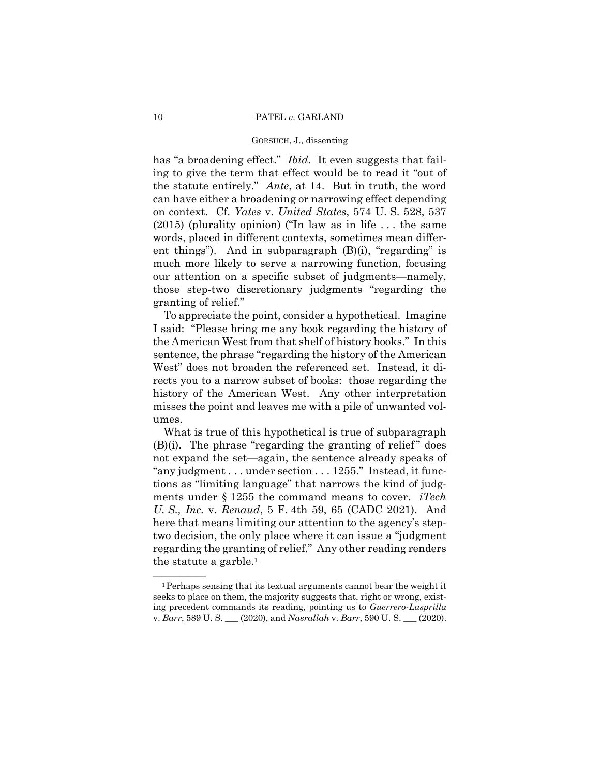ent things"). And in subparagraph (B)(i), "regarding" is has "a broadening effect." *Ibid*. It even suggests that failing to give the term that effect would be to read it "out of the statute entirely." *Ante*, at 14. But in truth, the word can have either a broadening or narrowing effect depending on context. Cf. *Yates* v. *United States*, 574 U. S. 528, 537 (2015) (plurality opinion) ("In law as in life . . . the same words, placed in different contexts, sometimes mean differmuch more likely to serve a narrowing function, focusing our attention on a specific subset of judgments—namely, those step-two discretionary judgments "regarding the granting of relief."

To appreciate the point, consider a hypothetical. Imagine I said: "Please bring me any book regarding the history of the American West from that shelf of history books." In this sentence, the phrase "regarding the history of the American West" does not broaden the referenced set. Instead, it directs you to a narrow subset of books: those regarding the history of the American West. Any other interpretation misses the point and leaves me with a pile of unwanted volumes.

What is true of this hypothetical is true of subparagraph  $(B)(i)$ . The phrase "regarding the granting of relief" does not expand the set—again, the sentence already speaks of "any judgment . . . under section . . . 1255." Instead, it functions as "limiting language" that narrows the kind of judgments under § 1255 the command means to cover. *iTech U. S., Inc.* v. *Renaud*, 5 F. 4th 59, 65 (CADC 2021). And here that means limiting our attention to the agency's steptwo decision, the only place where it can issue a "judgment regarding the granting of relief." Any other reading renders the statute a garble.1

 ${}^{1}$ Perhaps sensing that its textual arguments cannot bear the weight it seeks to place on them, the majority suggests that, right or wrong, existing precedent commands its reading, pointing us to *Guerrero-Lasprilla*  v. *Barr*, 589 U. S. \_\_\_ (2020), and *Nasrallah* v. *Barr*, 590 U. S. \_\_\_ (2020).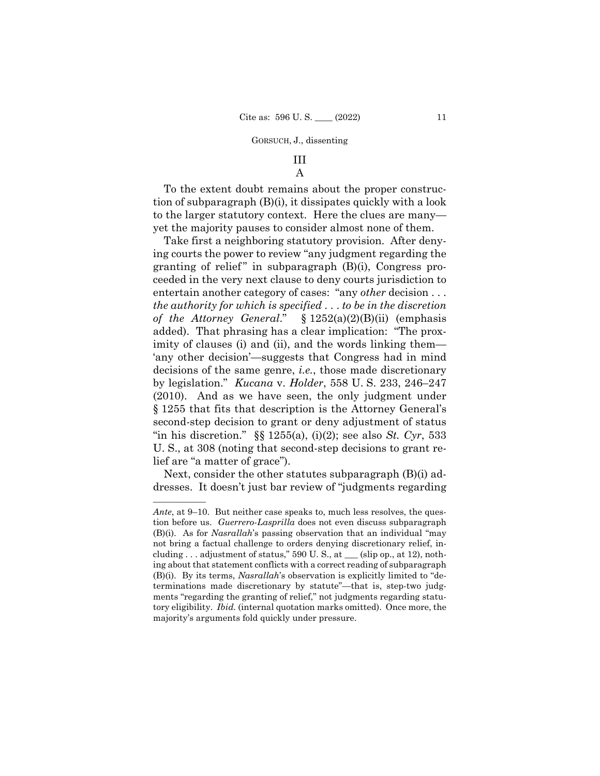# III A

To the extent doubt remains about the proper construction of subparagraph (B)(i), it dissipates quickly with a look to the larger statutory context. Here the clues are many yet the majority pauses to consider almost none of them.

Take first a neighboring statutory provision. After denying courts the power to review "any judgment regarding the granting of relief" in subparagraph  $(B)(i)$ , Congress proceeded in the very next clause to deny courts jurisdiction to entertain another category of cases: "any *other* decision . . . *the authority for which is specified* . . . *to be in the discretion of the Attorney General*." § 1252(a)(2)(B)(ii) (emphasis added). That phrasing has a clear implication: "The proximity of clauses (i) and (ii), and the words linking them— 'any other decision'—suggests that Congress had in mind decisions of the same genre, *i.e.*, those made discretionary by legislation." *Kucana* v. *Holder*, 558 U. S. 233, 246–247 (2010). And as we have seen, the only judgment under § 1255 that fits that description is the Attorney General's second-step decision to grant or deny adjustment of status "in his discretion." §§ 1255(a), (i)(2); see also *St. Cyr*, 533 U. S., at 308 (noting that second-step decisions to grant relief are "a matter of grace").

Next, consider the other statutes subparagraph (B)(i) addresses. It doesn't just bar review of "judgments regarding

——————

*Ante*, at 9–10. But neither case speaks to, much less resolves, the question before us. *Guerrero-Lasprilla* does not even discuss subparagraph (B)(i). As for *Nasrallah*'s passing observation that an individual "may not bring a factual challenge to orders denying discretionary relief, including . . . adjustment of status," 590 U. S., at \_\_\_ (slip op., at 12), nothing about that statement conflicts with a correct reading of subparagraph (B)(i). By its terms, *Nasrallah*'s observation is explicitly limited to "determinations made discretionary by statute"—that is, step-two judgments "regarding the granting of relief," not judgments regarding statutory eligibility. *Ibid.* (internal quotation marks omitted). Once more, the majority's arguments fold quickly under pressure.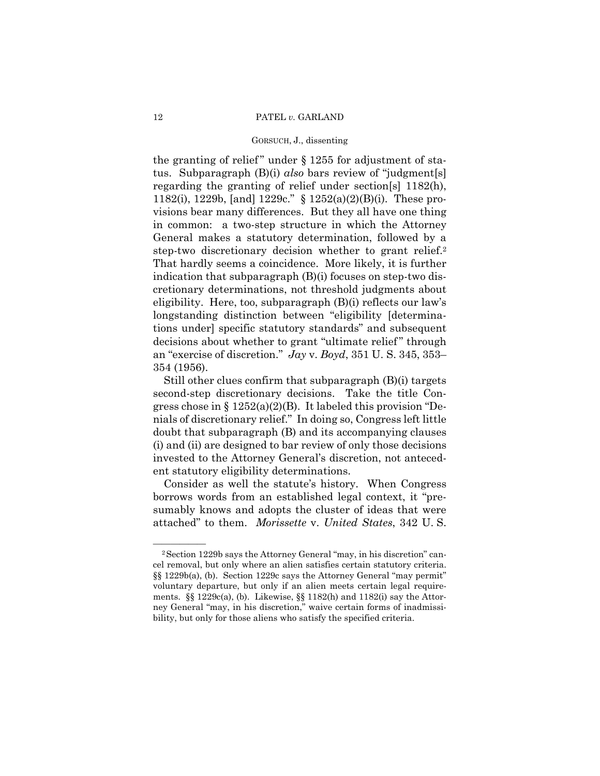step-two discretionary decision whether to grant relief.<sup>2</sup> the granting of relief" under  $\S 1255$  for adjustment of status. Subparagraph (B)(i) *also* bars review of "judgment[s] regarding the granting of relief under section[s] 1182(h), 1182(i), 1229b, [and] 1229c." § 1252(a)(2)(B)(i). These provisions bear many differences. But they all have one thing in common: a two-step structure in which the Attorney General makes a statutory determination, followed by a That hardly seems a coincidence. More likely, it is further indication that subparagraph (B)(i) focuses on step-two discretionary determinations, not threshold judgments about eligibility. Here, too, subparagraph (B)(i) reflects our law's longstanding distinction between "eligibility [determinations under] specific statutory standards" and subsequent decisions about whether to grant "ultimate relief" through an "exercise of discretion." *Jay* v. *Boyd*, 351 U. S. 345, 353– 354 (1956).

Still other clues confirm that subparagraph (B)(i) targets second-step discretionary decisions. Take the title Congress chose in  $\S 1252(a)(2)(B)$ . It labeled this provision "Denials of discretionary relief." In doing so, Congress left little doubt that subparagraph (B) and its accompanying clauses (i) and (ii) are designed to bar review of only those decisions invested to the Attorney General's discretion, not antecedent statutory eligibility determinations.

Consider as well the statute's history. When Congress borrows words from an established legal context, it "presumably knows and adopts the cluster of ideas that were attached" to them. *Morissette* v. *United States*, 342 U. S.

cel removal, but only where an alien satisfies certain statutory criteria. <sup>2</sup> Section 1229b says the Attorney General "may, in his discretion" can- $\S$ [§ 1229b(a), (b). Section 1229c says the Attorney General "may permit" voluntary departure, but only if an alien meets certain legal requirements. §§ 1229c(a), (b). Likewise, §§ 1182(h) and 1182(i) say the Attorney General "may, in his discretion," waive certain forms of inadmissibility, but only for those aliens who satisfy the specified criteria.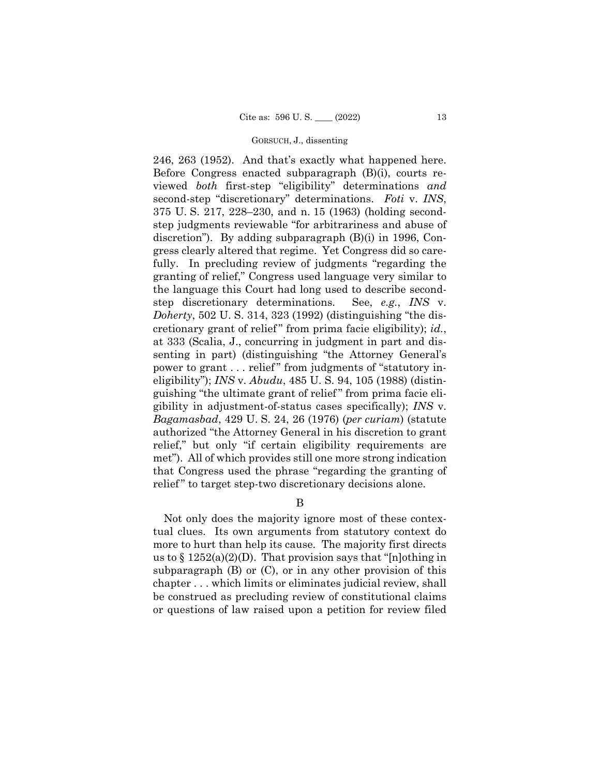246, 263 (1952). And that's exactly what happened here. Before Congress enacted subparagraph (B)(i), courts reviewed *both* first-step "eligibility" determinations *and*  second-step "discretionary" determinations. *Foti* v. *INS*, 375 U. S. 217, 228–230, and n. 15 (1963) (holding secondstep judgments reviewable "for arbitrariness and abuse of discretion"). By adding subparagraph (B)(i) in 1996, Congress clearly altered that regime. Yet Congress did so carefully. In precluding review of judgments "regarding the granting of relief," Congress used language very similar to the language this Court had long used to describe secondstep discretionary determinations. See, *e.g.*, *INS* v. *Doherty*, 502 U. S. 314, 323 (1992) (distinguishing "the discretionary grant of relief" from prima facie eligibility); *id.*, at 333 (Scalia, J., concurring in judgment in part and dissenting in part) (distinguishing "the Attorney General's power to grant . . . relief " from judgments of "statutory ineligibility"); *INS* v. *Abudu*, 485 U. S. 94, 105 (1988) (distinguishing "the ultimate grant of relief " from prima facie eligibility in adjustment-of-status cases specifically); *INS* v. *Bagamasbad*, 429 U. S. 24, 26 (1976) (*per curiam*) (statute authorized "the Attorney General in his discretion to grant relief," but only "if certain eligibility requirements are met"). All of which provides still one more strong indication that Congress used the phrase "regarding the granting of relief" to target step-two discretionary decisions alone.

B

Not only does the majority ignore most of these contextual clues. Its own arguments from statutory context do more to hurt than help its cause. The majority first directs us to  $\S 1252(a)(2)(D)$ . That provision says that "[n]othing in subparagraph (B) or (C), or in any other provision of this chapter . . . which limits or eliminates judicial review, shall be construed as precluding review of constitutional claims or questions of law raised upon a petition for review filed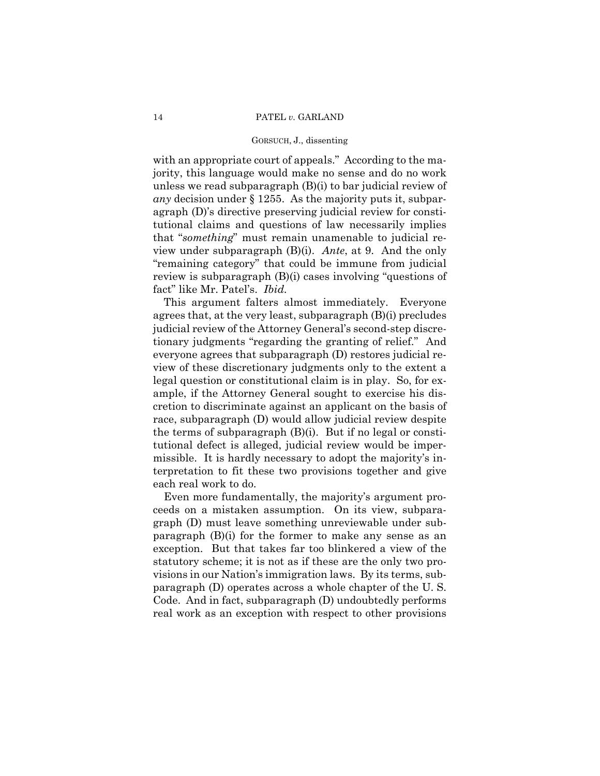with an appropriate court of appeals." According to the majority, this language would make no sense and do no work unless we read subparagraph (B)(i) to bar judicial review of *any* decision under § 1255. As the majority puts it, subparagraph (D)'s directive preserving judicial review for constitutional claims and questions of law necessarily implies that "*something*" must remain unamenable to judicial review under subparagraph (B)(i). *Ante*, at 9. And the only "remaining category" that could be immune from judicial review is subparagraph (B)(i) cases involving "questions of fact" like Mr. Patel's. *Ibid.* 

This argument falters almost immediately. Everyone agrees that, at the very least, subparagraph (B)(i) precludes judicial review of the Attorney General's second-step discretionary judgments "regarding the granting of relief." And everyone agrees that subparagraph (D) restores judicial review of these discretionary judgments only to the extent a legal question or constitutional claim is in play. So, for example, if the Attorney General sought to exercise his discretion to discriminate against an applicant on the basis of race, subparagraph (D) would allow judicial review despite the terms of subparagraph (B)(i). But if no legal or constitutional defect is alleged, judicial review would be impermissible. It is hardly necessary to adopt the majority's interpretation to fit these two provisions together and give each real work to do.

Even more fundamentally, the majority's argument proceeds on a mistaken assumption. On its view, subparagraph (D) must leave something unreviewable under subparagraph (B)(i) for the former to make any sense as an exception. But that takes far too blinkered a view of the statutory scheme; it is not as if these are the only two provisions in our Nation's immigration laws. By its terms, subparagraph (D) operates across a whole chapter of the U. S. Code. And in fact, subparagraph (D) undoubtedly performs real work as an exception with respect to other provisions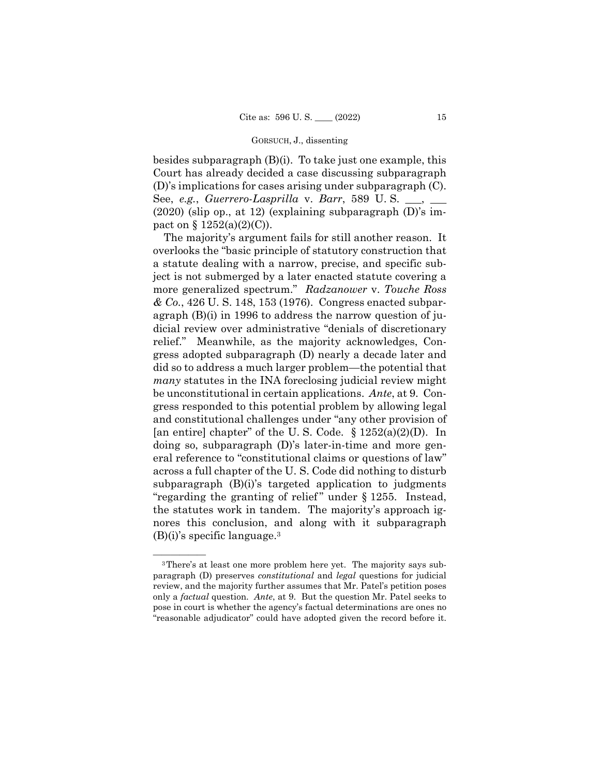besides subparagraph (B)(i). To take just one example, this Court has already decided a case discussing subparagraph (D)'s implications for cases arising under subparagraph (C). See, *e.g.*, *Guerrero-Lasprilla* v. *Barr*, 589 U.S. (2020) (slip op., at 12) (explaining subparagraph (D)'s impact on  $\S 1252(a)(2)(C)$ .

The majority's argument fails for still another reason. It overlooks the "basic principle of statutory construction that a statute dealing with a narrow, precise, and specific subject is not submerged by a later enacted statute covering a more generalized spectrum." *Radzanower* v. *Touche Ross & Co.*, 426 U. S. 148, 153 (1976). Congress enacted subparagraph (B)(i) in 1996 to address the narrow question of judicial review over administrative "denials of discretionary relief." Meanwhile, as the majority acknowledges, Congress adopted subparagraph (D) nearly a decade later and did so to address a much larger problem—the potential that *many* statutes in the INA foreclosing judicial review might be unconstitutional in certain applications. *Ante*, at 9. Congress responded to this potential problem by allowing legal and constitutional challenges under "any other provision of [an entire] chapter" of the U.S. Code.  $\S 1252(a)(2)(D)$ . In doing so, subparagraph (D)'s later-in-time and more general reference to "constitutional claims or questions of law" across a full chapter of the U. S. Code did nothing to disturb subparagraph (B)(i)'s targeted application to judgments "regarding the granting of relief" under  $\S 1255$ . Instead, the statutes work in tandem. The majority's approach ignores this conclusion, and along with it subparagraph  $(B)(i)$ 's specific language.<sup>3</sup>

 pose in court is whether the agency's factual determinations are ones no <sup>3</sup>There's at least one more problem here yet. The majority says subparagraph (D) preserves *constitutional* and *legal* questions for judicial review, and the majority further assumes that Mr. Patel's petition poses only a *factual* question. *Ante*, at 9. But the question Mr. Patel seeks to "reasonable adjudicator" could have adopted given the record before it.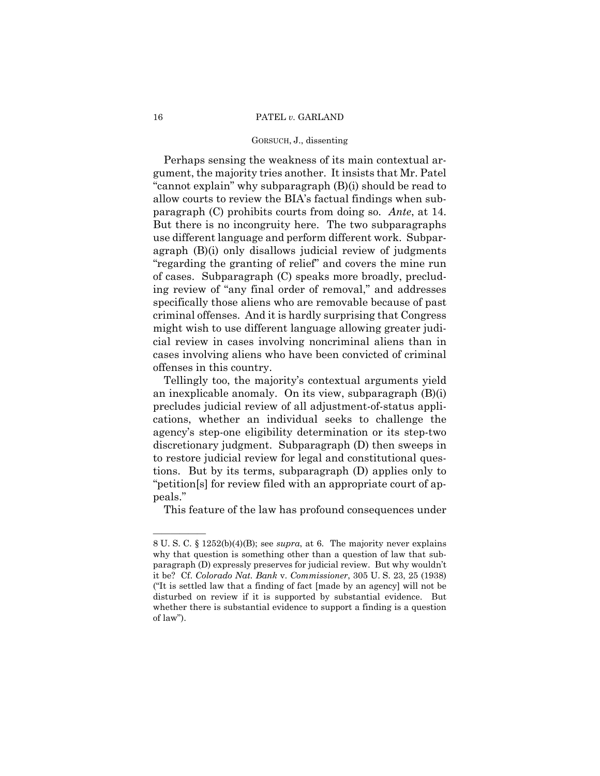#### 16 PATEL *v.* GARLAND

## GORSUCH, J., dissenting

Perhaps sensing the weakness of its main contextual argument, the majority tries another. It insists that Mr. Patel "cannot explain" why subparagraph (B)(i) should be read to allow courts to review the BIA's factual findings when subparagraph (C) prohibits courts from doing so. *Ante*, at 14. But there is no incongruity here. The two subparagraphs use different language and perform different work. Subparagraph (B)(i) only disallows judicial review of judgments "regarding the granting of relief" and covers the mine run of cases. Subparagraph (C) speaks more broadly, precluding review of "any final order of removal," and addresses specifically those aliens who are removable because of past criminal offenses. And it is hardly surprising that Congress might wish to use different language allowing greater judicial review in cases involving noncriminal aliens than in cases involving aliens who have been convicted of criminal offenses in this country.

Tellingly too, the majority's contextual arguments yield an inexplicable anomaly. On its view, subparagraph (B)(i) precludes judicial review of all adjustment-of-status applications, whether an individual seeks to challenge the agency's step-one eligibility determination or its step-two discretionary judgment. Subparagraph (D) then sweeps in to restore judicial review for legal and constitutional questions. But by its terms, subparagraph (D) applies only to "petition[s] for review filed with an appropriate court of appeals."

This feature of the law has profound consequences under

——————

<sup>8</sup> U. S. C. § 1252(b)(4)(B); see *supra*, at 6. The majority never explains why that question is something other than a question of law that subparagraph (D) expressly preserves for judicial review. But why wouldn't it be? Cf. *Colorado Nat. Bank* v. *Commissioner*, 305 U. S. 23, 25 (1938) ("It is settled law that a finding of fact [made by an agency] will not be disturbed on review if it is supported by substantial evidence. But whether there is substantial evidence to support a finding is a question of law").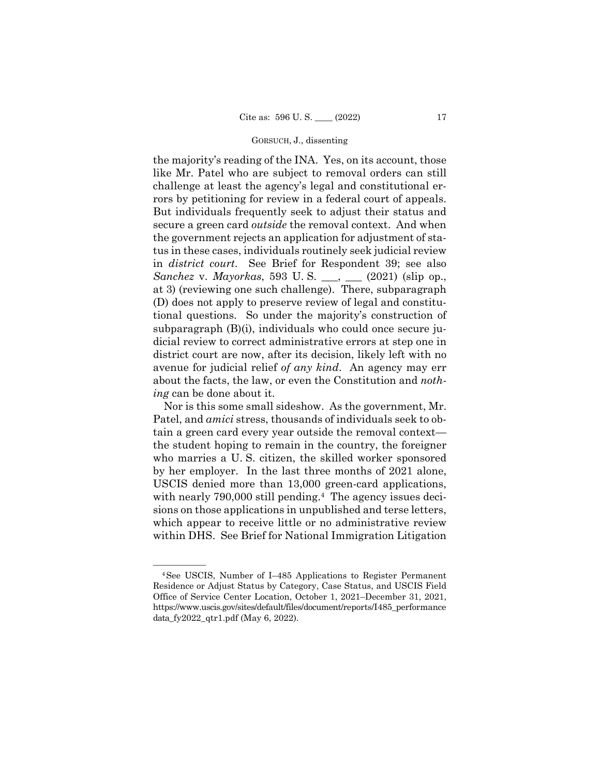the majority's reading of the INA. Yes, on its account, those like Mr. Patel who are subject to removal orders can still challenge at least the agency's legal and constitutional errors by petitioning for review in a federal court of appeals. But individuals frequently seek to adjust their status and secure a green card *outside* the removal context. And when the government rejects an application for adjustment of status in these cases, individuals routinely seek judicial review in *district court*. See Brief for Respondent 39; see also *Sanchez* v. *Mayorkas*, 593 U. S. \_\_\_, \_\_\_ (2021) (slip op., at 3) (reviewing one such challenge). There, subparagraph (D) does not apply to preserve review of legal and constitutional questions. So under the majority's construction of subparagraph (B)(i), individuals who could once secure judicial review to correct administrative errors at step one in district court are now, after its decision, likely left with no avenue for judicial relief *of any kind*. An agency may err about the facts, the law, or even the Constitution and *nothing* can be done about it.

Nor is this some small sideshow. As the government, Mr. Patel, and *amici* stress, thousands of individuals seek to obtain a green card every year outside the removal context the student hoping to remain in the country, the foreigner who marries a U. S. citizen, the skilled worker sponsored by her employer. In the last three months of 2021 alone, USCIS denied more than 13,000 green-card applications, with nearly 790,000 still pending.<sup>4</sup> The agency issues decisions on those applications in unpublished and terse letters, which appear to receive little or no administrative review within DHS. See Brief for National Immigration Litigation

<sup>&</sup>lt;sup>4</sup>See USCIS, Number of I-485 Applications to Register Permanent Residence or Adjust Status by Category, Case Status, and USCIS Field Office of Service Center Location, October 1, 2021–December 31, 2021, https://www.uscis.gov/sites/default/files/document/reports/I485\_performance data  $fy2022qtr1.pdf$  (May 6, 2022).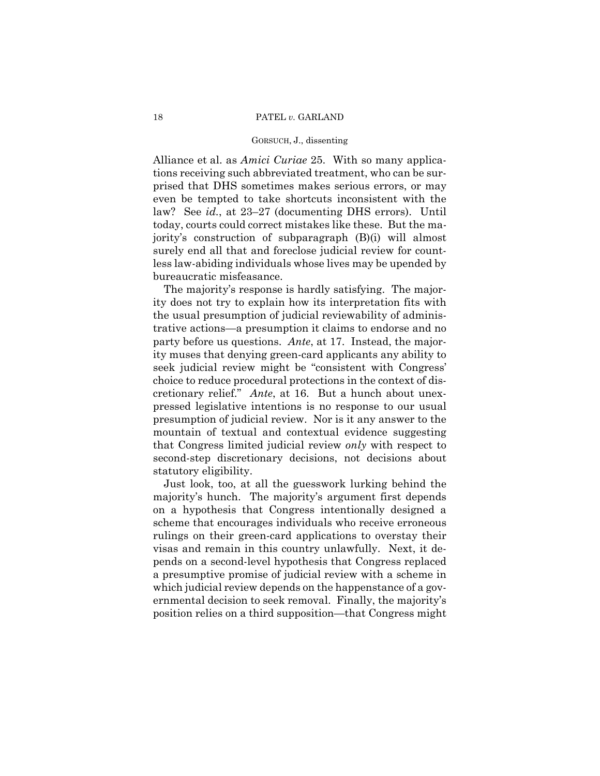Alliance et al. as *Amici Curiae* 25. With so many applications receiving such abbreviated treatment, who can be surprised that DHS sometimes makes serious errors, or may even be tempted to take shortcuts inconsistent with the law? See *id.*, at 23–27 (documenting DHS errors). Until today, courts could correct mistakes like these. But the majority's construction of subparagraph (B)(i) will almost surely end all that and foreclose judicial review for countless law-abiding individuals whose lives may be upended by bureaucratic misfeasance.

 cretionary relief." *Ante*, at 16. But a hunch about unex-The majority's response is hardly satisfying. The majority does not try to explain how its interpretation fits with the usual presumption of judicial reviewability of administrative actions—a presumption it claims to endorse and no party before us questions. *Ante*, at 17. Instead, the majority muses that denying green-card applicants any ability to seek judicial review might be "consistent with Congress' choice to reduce procedural protections in the context of dispressed legislative intentions is no response to our usual presumption of judicial review. Nor is it any answer to the mountain of textual and contextual evidence suggesting that Congress limited judicial review *only* with respect to second-step discretionary decisions, not decisions about statutory eligibility.

Just look, too, at all the guesswork lurking behind the majority's hunch. The majority's argument first depends on a hypothesis that Congress intentionally designed a scheme that encourages individuals who receive erroneous rulings on their green-card applications to overstay their visas and remain in this country unlawfully. Next, it depends on a second-level hypothesis that Congress replaced a presumptive promise of judicial review with a scheme in which judicial review depends on the happenstance of a governmental decision to seek removal. Finally, the majority's position relies on a third supposition—that Congress might